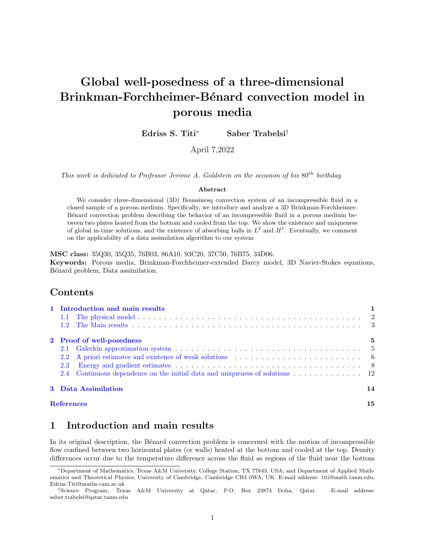# Global well-posedness of a three-dimensional Brinkman-Forchheimer-Bénard convection model in porous media

Edriss S. Titi<sup>∗</sup> Saber Trabelsi†

April 7,2022

This work is dedicated to Professor Jerome A. Goldstein on the occasion of his  $80^{th}$  birthday

#### Abstract

We consider three-dimensional (3D) Boussinesq convection system of an incompressible fluid in a closed sample of a porous medium. Specifically, we introduce and analyze a 3D Brinkman-Forchheimer-Bénard convection problem describing the behavior of an incompressible fluid in a porous medium between two plates heated from the bottom and cooled from the top. We show the existence and uniqueness of global in-time solutions, and the existence of absorbing balls in  $L^2$  and  $H^1$ . Eventually, we comment on the applicability of a data assimilation algorithm to our system

MSC class: 35Q30, 35Q35, 76B03, 86A10, 93C20, 37C50, 76B75, 34D06. Keywords: Porous media, Brinkman-Forchheimer-extended Darcy model, 3D Navier-Stokes equations, Bénard problem, Data assimilation.

### Contents

| 1 Introduction and main results                                                                                  |    |  |
|------------------------------------------------------------------------------------------------------------------|----|--|
|                                                                                                                  |    |  |
|                                                                                                                  |    |  |
| 2 Proof of well-posedness                                                                                        | 5  |  |
|                                                                                                                  |    |  |
| 2.2 A priori estimates and existence of weak solutions $\ldots \ldots \ldots \ldots \ldots \ldots \ldots \ldots$ |    |  |
| 2.3                                                                                                              |    |  |
| 2.4                                                                                                              |    |  |
| 3 Data Assimilation                                                                                              | 14 |  |
| <b>References</b>                                                                                                |    |  |

# <span id="page-0-0"></span>1 Introduction and main results

In its original description, the Bénard convection problem is concerned with the motion of incompressible flow confined between two horizontal plates (or walls) heated at the bottom and cooled at the top. Density differences occur due to the temperature difference across the fluid as regions of the fluid near the bottom

<sup>∗</sup>Department of Mathematics, Texas A&M University, College Station, TX 77843, USA; and Department of Applied Mathematics and Theoretical Physics, University of Cambridge, Cambridge CB3 0WA, UK. E-mail address: titi@math.tamu.edu, Edriss.Titi@maths.cam.ac.uk

<sup>†</sup>Science Program, Texas A&M University at Qatar, P.O. Box 23874 Doha, Qatar. E-mail address: saber.trabelsi@qatar.tamu.edu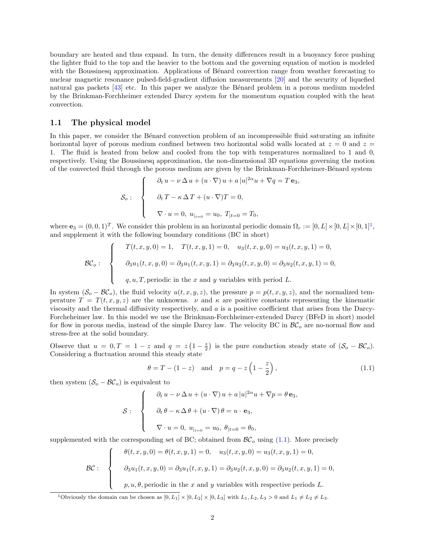boundary are heated and thus expand. In turn, the density differences result in a buoyancy force pushing the lighter fluid to the top and the heavier to the bottom and the governing equation of motion is modeled with the Boussinesq approximation. Applications of Bénard convection range from weather forecasting to nuclear magnetic resonance pulsed-field-gradient diffusion measurements [\[20\]](#page-15-0) and the security of liquefied natural gas packets  $[43]$  etc. In this paper we analyze the Bénard problem in a porous medium modeled by the Brinkman-Forchheimer extended Darcy system for the momentum equation coupled with the heat convection.

#### <span id="page-1-0"></span>1.1 The physical model

In this paper, we consider the Bénard convection problem of an incompressible fluid saturating an infinite horizontal layer of porous medium confined between two horizontal solid walls located at  $z = 0$  and  $z =$ 1. The fluid is heated from below and cooled from the top with temperatures normalized to 1 and 0, respectively. Using the Boussinesq approximation, the non-dimensional 3D equations governing the motion of the convected fluid through the porous medium are given by the Brinkman-Forchheimer-Bénard system

$$
\mathcal{S}_o: \begin{cases} \n\partial_t u - \nu \Delta u + (u \cdot \nabla) u + a |u|^{2\alpha} u + \nabla q = T \mathbf{e}_3, \\
\partial_t T - \kappa \Delta T + (u \cdot \nabla) T = 0, \\
\nabla \cdot u = 0, \ u_{|_{t=0}} = u_0, \ T_{|t=0} = T_0, \n\end{cases}
$$

where  $\mathbf{e}_3 = (0, 0, 1)^T$  $\mathbf{e}_3 = (0, 0, 1)^T$  $\mathbf{e}_3 = (0, 0, 1)^T$ . We consider this problem in an horizontal periodic domain  $\Omega_r := [0, L] \times [0, L] \times [0, 1]^1$ , and supplement it with the following boundary conditions (BC in short)

$$
\mathcal{BC}_o: \begin{cases}\nT(t, x, y, 0) = 1, & T(t, x, y, 1) = 0, \quad u_3(t, x, y, 0) = u_3(t, x, y, 1) = 0, \\
\partial_3 u_1(t, x, y, 0) = \partial_3 u_1(t, x, y, 1) = \partial_3 u_2(t, x, y, 0) = \partial_3 u_2(t, x, y, 1) = 0, \\
q, u, T, \text{periodic in the } x \text{ and } y \text{ variables with period } L.\n\end{cases}
$$

In system  $(S_o - \mathcal{BC}_o)$ , the fluid velocity  $u(t, x, y, z)$ , the pressure  $p = p(t, x, y, z)$ , and the normalized temperature  $T = T(t, x, y, z)$  are the unknowns.  $\nu$  and  $\kappa$  are positive constants representing the kinematic viscosity and the thermal diffusivity respectively, and  $a$  is a positive coefficient that arises from the Darcy-Forcheheimer law. In this model we use the Brinkman-Forchheimer-extended Darcy (BFeD in short) model for flow in porous media, instead of the simple Darcy law. The velocity BC in  $\mathcal{BC}_o$  are no-normal flow and stress-free at the solid boundary.

Observe that  $u = 0, T = 1 - z$  and  $q = z(1 - \frac{z}{2})$  is the pure conduction steady state of  $(S_o - BC_o)$ . Considering a fluctuation around this steady state

<span id="page-1-2"></span>
$$
\theta = T - (1 - z)
$$
 and  $p = q - z \left(1 - \frac{z}{2}\right)$ , (1.1)

then system  $(S_o - BC_o)$  is equivalent to

$$
\mathcal{S}: \begin{cases} \n\partial_t u - \nu \Delta u + (u \cdot \nabla) u + a |u|^{2\alpha} u + \nabla p = \theta \mathbf{e}_3, \\
\partial_t \theta - \kappa \Delta \theta + (u \cdot \nabla) \theta = u \cdot \mathbf{e}_3, \\
\nabla \cdot u = 0, \ u_{|_{t=0}} = u_0, \ \theta_{|t=0} = \theta_0, \n\end{cases}
$$

supplemented with the corresponding set of BC; obtained from  $\mathcal{BC}_o$  using [\(1.1\)](#page-1-2). More precisely

$$
\mathcal{BC}:\n\begin{cases}\n\theta(t, x, y, 0) = \theta(t, x, y, 1) = 0, \quad u_3(t, x, y, 0) = u_3(t, x, y, 1) = 0, \\
\partial_3 u_1(t, x, y, 0) = \partial_3 u_1(t, x, y, 1) = \partial_3 u_2(t, x, y, 0) = \partial_3 u_2(t, x, y, 1) = 0, \\
p, u, \theta, \text{periodic in the } x \text{ and } y \text{ variables with respective periods } L.\n\end{cases}
$$

<span id="page-1-1"></span><sup>1</sup>Obviously the domain can be chosen as  $[0, L_1] \times [0, L_2] \times [0, L_3]$  with  $L_1, L_2, L_3 > 0$  and  $L_1 \neq L_2 \neq L_3$ .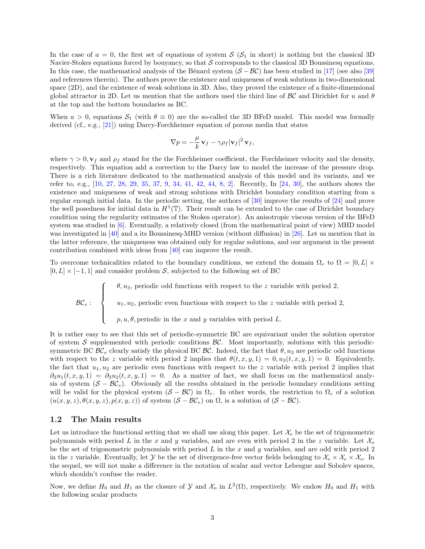In the case of  $a = 0$ , the first set of equations of system  $\mathcal{S}$  ( $\mathcal{S}_1$  in short) is nothing but the classical 3D Navier-Stokes equations forced by bouyancy, so that  $S$  corresponds to the classical 3D Boussinesq equations. In this case, the mathematical analysis of the Bénard system  $(S - BC)$  has been studied in [\[17\]](#page-15-1) (see also [\[39\]](#page-16-0) and references therein). The authors prove the existence and uniqueness of weak solutions in two-dimensional space (2D), and the existence of weak solutions in 3D. Also, they proved the existence of a finite-dimensional global attractor in 2D. Let us mention that the authors used the third line of  $\beta C$  and Dirichlet for u and  $\theta$ at the top and the bottom boundaries as BC.

When  $a > 0$ , equations  $\mathcal{S}_1$  (with  $\theta \equiv 0$ ) are the so-called the 3D BFeD model. This model was formally derived (cf., e.g., [\[21\]](#page-15-2)) using Darcy-Forchheimer equation of porous media that states

$$
\nabla p = -\frac{\mu}{k} \mathbf{v}_f - \gamma \rho_f |\mathbf{v}_f|^2 \mathbf{v}_f,
$$

where  $\gamma > 0$ ,  $\mathbf{v}_f$  and  $\rho_f$  stand for the the Forchheimer coefficient, the Forchheimer velocity and the density, respectively. This equation add a correction to the Darcy law to model the increase of the pressure drop. There is a rich literature dedicated to the mathematical analysis of this model and its variants, and we refer to, e.g., [\[10,](#page-15-3) [27,](#page-16-1) [28,](#page-16-2) [29,](#page-16-3) [35,](#page-16-4) [37,](#page-16-5) [9,](#page-15-4) [34,](#page-16-6) [41,](#page-16-7) [42,](#page-17-1) [44,](#page-17-2) [8,](#page-15-5) [2\]](#page-14-1). Recently, In [\[24,](#page-16-8) [30\]](#page-16-9), the authors shows the existence and uniqueness of weak and strong solutions with Dirichlet boundary condition starting from a regular enough initial data. In the periodic setting, the authors of [\[30\]](#page-16-9) improve the results of [\[24\]](#page-16-8) and prove the well posedness for initial data in  $H^1(\mathbb{T})$ . Their result can be extended to the case of Dirichlet boundary condition using the regularity estimates of the Stokes operator). An anisotropic viscous version of the BFeD system was studied in [\[6\]](#page-15-6). Eventually, a relatively closed (from the mathematical point of view) MHD model was investigated in [\[40\]](#page-16-10) and a its Boussinesq-MHD version (without diffusion) in [\[26\]](#page-16-11). Let us mention that in the latter reference, the uniqueness was obtained only for regular solutions, and our argument in the present contribution combined with ideas from [\[40\]](#page-16-10) can improve the result.

To overcome technicalities related to the boundary conditions, we extend the domain  $\Omega_r$  to  $\Omega = [0, L] \times$  $[0, L] \times [-1, 1]$  and consider problem S, subjected to the following set of BC

BC  $_e$  :  $\sqrt{ }$  $\int$  $\overline{\mathcal{L}}$  $\theta$ ,  $u_3$ , periodic odd functions with respect to the z variable with period 2,  $u_1, u_2$ , periodic even functions with respect to the z variable with period 2,  $p, u, \theta$ , periodic in the x and y variables with period L.

It is rather easy to see that this set of periodic-symmetric BC are equivariant under the solution operator of system  $S$  supplemented with periodic conditions  $\mathcal{BC}$ . Most importantly, solutions with this periodicsymmetric BC  $\mathcal{BC}_e$  clearly satisfy the physical BC  $\mathcal{BC}$ . Indeed, the fact that  $\theta$ ,  $u_3$  are periodic odd functions with respect to the z variable with period 2 implies that  $\theta(t, x, y, 1) = 0, u_3(t, x, y, 1) = 0$ . Equivalently, the fact that  $u_1, u_2$  are periodic even functions with respect to the z variable with period 2 implies that  $\partial_3u_1(t,x,y,1) = \partial_3u_2(t,x,y,1) = 0.$  As a matter of fact, we shall focus on the mathematical analysis of system  $(S - BC_e)$ . Obviously all the results obtained in the periodic boundary conditions setting will be valid for the physical system  $(S - BC)$  in  $\Omega_r$ . In other words, the restriction to  $\Omega_r$  of a solution  $(u(x, y, z), \theta(x, y, z), p(x, y, z))$  of system  $(S - \mathcal{BC}_e)$  on  $\Omega$ , is a solution of  $(S - \mathcal{BC})$ .

#### <span id="page-2-0"></span>1.2 The Main results

Let us introduce the functional setting that we shall use along this paper. Let  $\mathcal{X}_e$  be the set of trigonometric polynomials with period L in the x and y variables, and are even with period 2 in the z variable. Let  $\mathcal{X}_o$ be the set of trigonometric polynomials with period  $L$  in the  $x$  and  $y$  variables, and are odd with period  $2$ in the z variable. Eventually, let Y be the set of divergence-free vector fields belonging to  $\mathcal{X}_e \times \mathcal{X}_e \times \mathcal{X}_o$ . In the sequel, we will not make a difference in the notation of scalar and vector Lebesgue and Sobolev spaces, which shouldn't confuse the reader.

Now, we define  $H_0$  and  $H_1$  as the closure of  $\mathcal Y$  and  $\mathcal X_o$  in  $L^2(\Omega)$ , respectively. We endow  $H_0$  and  $H_1$  with the following scalar products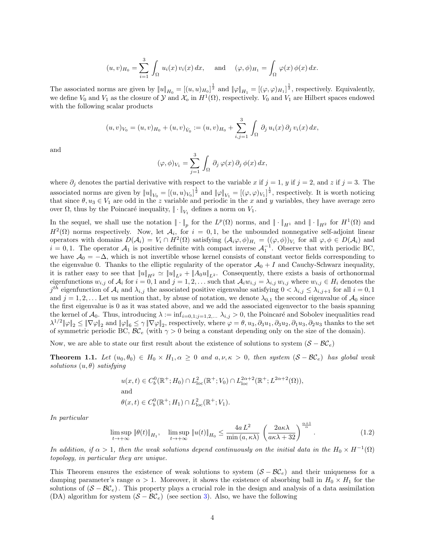$$
(u,v)_{H_0} = \sum_{i=1}^3 \int_{\Omega} u_i(x) v_i(x) dx, \text{ and } (\varphi, \phi)_{H_1} = \int_{\Omega} \varphi(x) \phi(x) dx.
$$

The associated norms are given by  $||u||_{H_0} = [(u, u)_{H_0}]^{\frac{1}{2}}$  and  $||\varphi||_{H_1} = [(\varphi, \varphi)_{H_1}]^{\frac{1}{2}}$ , respectively. Equivalently, we define  $V_0$  and  $V_1$  as the closure of  $\mathcal Y$  and  $\mathcal X_o$  in  $H^1(\Omega)$ , respectively.  $V_0$  and  $V_1$  are Hilbert spaces endowed with the following scalar products

$$
(u,v)_{V_0} = (u,v)_{H_0} + (u,v)_{\dot{V}_0} := (u,v)_{H_0} + \sum_{i,j=1}^3 \int_{\Omega} \partial_j u_i(x) \partial_j v_i(x) dx,
$$

and

$$
(\varphi, \phi)_{V_1} = \sum_{j=1}^3 \int_{\Omega} \partial_j \varphi(x) \partial_j \phi(x) dx,
$$

where  $\partial_j$  denotes the partial derivative with respect to the variable x if  $j = 1$ , y if  $j = 2$ , and z if  $j = 3$ . The associated norms are given by  $||u||_{V_0} = [(u, u)_{V_0}]^{\frac{1}{2}}$  and  $||\varphi||_{V_1} = [(\varphi, \varphi)_{V_1}]^{\frac{1}{2}}$ , respectively. It is worth noticing that since  $\theta, u_3 \in V_1$  are odd in the z variable and periodic in the x and y variables, they have average zero over  $\Omega$ , thus by the Poincaré inequality,  $\|\cdot\|_{V_1}$  defines a norm on  $V_1$ .

In the sequel, we shall use the notation  $\|\cdot\|_p$  for the  $L^p(\Omega)$  norms, and  $\|\cdot\|_{H^1}$  and  $\|\cdot\|_{H^2}$  for  $H^1(\Omega)$  and  $H^2(\Omega)$  norms respectively. Now, let  $\mathcal{A}_i$ , for  $i = 0, 1$ , be the unbounded nonnegative self-adjoint linear operators with domains  $D(\mathcal{A}_i) = V_i \cap H^2(\Omega)$  satisfying  $(\mathcal{A}_i \varphi, \phi)_{H_i} = ((\varphi, \phi))_{V_i}$  for all  $\varphi, \phi \in D(\mathcal{A}_i)$  and  $i = 0, 1$ . The operator  $\mathcal{A}_1$  is positive definite with compact inverse  $\mathcal{A}_1^{-1}$ . Observe that with periodic BC, we have  $A_0 = -\Delta$ , which is not invertible whose kernel consists of constant vector fields corresponding to the eigenvalue 0. Thanks to the elliptic regularity of the operator  $\mathcal{A}_0 + I$  and Cauchy-Schwarz inequality, it is rather easy to see that  $||u||_{H^2} \simeq ||u||_{L^2} + ||A_0u||_{L^2}$ . Consequently, there exists a basis of orthonormal eigenfunctions  $w_{i,j}$  of  $A_i$  for  $i = 0, 1$  and  $j = 1, 2, \ldots$  such that  $A_i w_{i,j} = \lambda_{i,j} w_{i,j}$  where  $w_{i,j} \in H_i$  denotes the  $j^{th}$  eigenfunction of  $A_i$  and  $\lambda_{i,j}$  the associated positive eigenvalue satisfying  $0 < \lambda_{i,j} \leq \lambda_{i,j+1}$  for all  $i = 0, 1$ and  $j = 1, 2, \ldots$  Let us mention that, by abuse of notation, we denote  $\lambda_{0,1}$  the second eigenvalue of  $\mathcal{A}_0$  since the first eigenvalue is 0 as it was stated above, and we add the associated eigenvector to the basis spanning the kernel of  $\mathcal{A}_0$ . Thus, introducing  $\lambda := \inf_{i=0,1;j=1,2,...} \lambda_{i,j} > 0$ , the Poincaré and Sobolev inequalities read  $\lambda^{1/2} \|\varphi\|_2 \leq \|\nabla \varphi\|_2$  and  $\|\varphi\|_6 \leq \gamma \|\nabla \varphi\|_2$ , respectively, where  $\varphi = \theta, u_3, \partial_3 u_1, \partial_3 u_2, \partial_1 u_3, \partial_2 u_3$  thanks to the set of symmetric periodic BC,  $\mathcal{BC}_e$  (with  $\gamma > 0$  being a constant depending only on the size of the domain).

Now, we are able to state our first result about the existence of solutions to system  $(S - BC_e)$ 

<span id="page-3-1"></span>**Theorem 1.1.** Let  $(u_0, \theta_0) \in H_0 \times H_1, \alpha \geq 0$  and  $a, \nu, \kappa > 0$ , then system  $(S - \mathcal{BC}_e)$  has global weak solutions  $(u, \theta)$  satisfying

$$
u(x,t) \in C_b^0(\mathbb{R}^+; H_0) \cap L_{loc}^2(\mathbb{R}^+; V_0) \cap L_{loc}^{2\alpha+2}(\mathbb{R}^+; L^{2\alpha+2}(\Omega)),
$$
  
and  

$$
\theta(x,t) \in C_b^0(\mathbb{R}^+; H_1) \cap L_{loc}^2(\mathbb{R}^+; V_1).
$$

In particular

<span id="page-3-0"></span>
$$
\limsup_{t \to +\infty} \|\theta(t)\|_{H_1}, \quad \limsup_{t \to +\infty} \|u(t)\|_{H_0} \le \frac{4a L^2}{\min(a, \kappa \lambda)} \left(\frac{2a \kappa \lambda}{a \kappa \lambda + 32}\right)^{\frac{\alpha+1}{\alpha}}.
$$
\n(1.2)

In addition, if  $\alpha > 1$ , then the weak solutions depend continuously on the initial data in the  $H_0 \times H^{-1}(\Omega)$ topology, in particular they are unique.

This Theorem ensures the existence of weak solutions to system  $(S - BC_e)$  and their uniqueness for a damping parameter's range  $\alpha > 1$ . Moreover, it shows the existence of absorbing ball in  $H_0 \times H_1$  for the solutions of  $(S - \mathcal{BC}_e)$ . This property plays a crucial role in the design and analysis of a data assimilation (DA) algorithm for system  $(S - BC_e)$  (see section [3\)](#page-13-0). Also, we have the following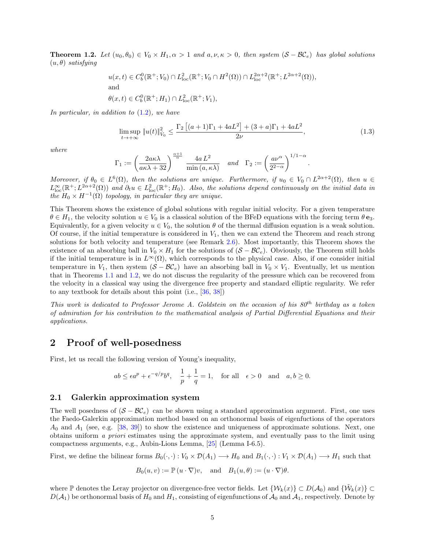<span id="page-4-2"></span>**Theorem 1.2.** Let  $(u_0, \theta_0) \in V_0 \times H_1, \alpha > 1$  and  $a, \nu, \kappa > 0$ , then system  $(S - BC_e)$  has global solutions  $(u, \theta)$  satisfying

$$
u(x,t) \in C_b^0(\mathbb{R}^+; V_0) \cap L_{loc}^2(\mathbb{R}^+; V_0 \cap H^2(\Omega)) \cap L_{loc}^{2\alpha+2}(\mathbb{R}^+; L^{2\alpha+2}(\Omega)),
$$
  
and  

$$
\theta(x,t) \in C_b^0(\mathbb{R}^+; H_1) \cap L_{loc}^2(\mathbb{R}^+; V_1),
$$

In particular, in addition to  $(1.2)$ , we have

$$
\limsup_{t \to +\infty} \|u(t)\|_{V_0}^2 \le \frac{\Gamma_2 \left[ (a+1)\Gamma_1 + 4aL^2 \right] + (3+a)\Gamma_1 + 4aL^2}{2\nu},\tag{1.3}
$$

.

where

$$
\Gamma_1 := \left(\frac{2a\kappa\lambda}{a\kappa\lambda + 32}\right)^{\frac{\alpha+1}{\alpha}} \frac{4a L^2}{\min(a, \kappa\lambda)} \quad \text{and} \quad \Gamma_2 := \left(\frac{a\nu^{\alpha}}{2^{2-\alpha}}\right)^{1/1-\alpha}
$$

Moreover, if  $\theta_0 \in L^6(\Omega)$ , then the solutions are unique. Furthermore, if  $u_0 \in V_0 \cap L^{2\alpha+2}(\Omega)$ , then  $u \in$  $L^{\infty}_{loc}(\mathbb{R}^+; L^{2\alpha+2}(\Omega))$  and  $\partial_t u \in L^2_{loc}(\mathbb{R}^+; H_0)$ . Also, the solutions depend continuously on the initial data in the  $H_0 \times H^{-1}(\Omega)$  topology, in particular they are unique.

This Theorem shows the existence of global solutions with regular initial velocity. For a given temperature  $\theta \in H_1$ , the velocity solution  $u \in V_0$  is a classical solution of the BFeD equations with the forcing term  $\theta e_3$ . Equivalently, for a given velocity  $u \in V_0$ , the solution  $\theta$  of the thermal diffusion equation is a weak solution. Of course, if the initial temperature is considered in  $V_1$ , then we can extend the Theorem and reach strong solutions for both velocity and temperature (see Remark [2.6\)](#page-13-1). Most importantly, this Theorem shows the existence of an absorbing ball in  $V_0 \times H_1$  for the solutions of  $(S - \mathcal{BC}_e)$ . Obviously, the Theorem still holds if the initial temperature is in  $L^{\infty}(\Omega)$ , which corresponds to the physical case. Also, if one consider initial temperature in  $V_1$ , then system  $(S - \mathcal{BC}_e)$  have an absorbing ball in  $V_0 \times V_1$ . Eventually, let us mention that in Theorems [1.1](#page-3-1) and [1.2,](#page-4-2) we do not discuss the regularity of the pressure which can be recovered from the velocity in a classical way using the divergence free property and standard elliptic regularity. We refer to any textbook for details about this point (i.e., [\[36,](#page-16-12) [38\]](#page-16-13))

This work is dedicated to Professor Jerome A. Goldstein on the occasion of his  $80^{th}$  birthday as a token of admiration for his contribution to the mathematical analysis of Partial Differential Equations and their applications.

## <span id="page-4-0"></span>2 Proof of well-posedness

First, let us recall the following version of Young's inequality,

$$
ab \leq \epsilon a^p + \epsilon^{-q/p} b^q, \quad \frac{1}{p} + \frac{1}{q} = 1, \quad \text{for all} \quad \epsilon > 0 \quad \text{and} \quad a, b \geq 0.
$$

#### <span id="page-4-1"></span>2.1 Galerkin approximation system

The well posedness of  $(S - \mathcal{BC}_e)$  can be shown using a standard approximation argument. First, one uses the Faedo-Galerkin approximation method based on an orthonormal basis of eigenfuctions of the operators  $A_0$  and  $A_1$  (see, e.g. [\[38,](#page-16-13) [39\]](#page-16-0)) to show the existence and uniqueness of approximate solutions. Next, one obtains uniform a priori estimates using the approximate system, and eventually pass to the limit using compactness arguments, e.g., Aubin-Lions Lemma, [\[25\]](#page-16-14) (Lemma I-6.5).

First, we define the bilinear forms  $B_0(\cdot, \cdot): V_0 \times \mathcal{D}(A_1) \longrightarrow H_0$  and  $B_1(\cdot, \cdot): V_1 \times \mathcal{D}(A_1) \longrightarrow H_1$  such that

$$
B_0(u, v) := \mathbb{P}(u \cdot \nabla)v
$$
, and  $B_1(u, \theta) := (u \cdot \nabla)\theta$ .

where P denotes the Leray projector on divergence-free vector fields. Let  $\{\mathcal{W}_k(x)\}\subset D(\mathcal{A}_0)$  and  $\{\tilde{\mathcal{W}}_k(x)\}\subset$  $D(\mathcal{A}_1)$  be orthonormal basis of  $H_0$  and  $H_1$ , consisting of eigenfunctions of  $\mathcal{A}_0$  and  $\mathcal{A}_1$ , respectively. Denote by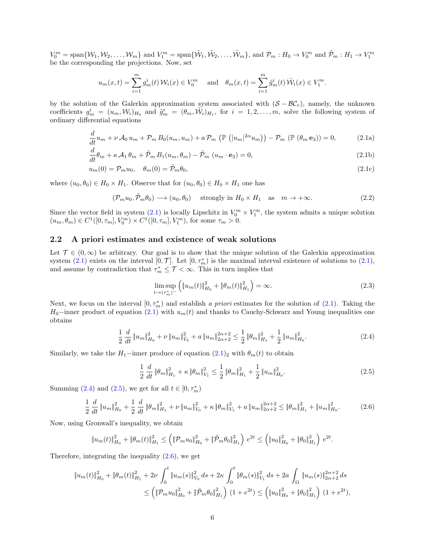$V_0^m = \text{span}\{\mathcal{W}_1, \mathcal{W}_2, \dots, \mathcal{W}_m\}$  and  $V_1^m = \text{span}\{\tilde{\mathcal{W}}_1, \tilde{\mathcal{W}}_2, \dots, \tilde{\mathcal{W}}_m\}$ , and  $\mathcal{P}_m : H_0 \to V_0^m$  and  $\tilde{\mathcal{P}}_m : H_1 \to V_1^m$ be the corresponding the projections. Now, set

$$
u_m(x,t) = \sum_{i=1}^m g_m^i(t) \mathcal{W}_i(x) \in V_0^m \quad \text{and} \quad \theta_m(x,t) = \sum_{i=1}^m \tilde{g}_m^i(t) \tilde{\mathcal{W}}_i(x) \in V_1^m.
$$

by the solution of the Galerkin approximation system associated with  $(S - BC_e)$ , namely, the unknown coefficients  $g_m^i = (u_m, \mathcal{W}_i)_{H_0}$  and  $\tilde{g}_m^i = (\theta_m, \tilde{\mathcal{W}}_i)_{H_1}$ , for  $i = 1, 2, ..., m$ , solve the following system of ordinary differential equations

<span id="page-5-1"></span>
$$
\frac{d}{dt}u_m + \nu \mathcal{A}_0 u_m + \mathcal{P}_m B_0(u_m, u_m) + a \mathcal{P}_m \left( \mathbb{P} \left( |u_m|^{2\alpha} u_m \right) \right) - \mathcal{P}_m \left( \mathbb{P} \left( \theta_m \mathbf{e}_3 \right) \right) = 0, \tag{2.1a}
$$

$$
\frac{d}{dt}\theta_m + \kappa \mathcal{A}_1 \theta_m + \tilde{\mathcal{P}}_m B_1(u_m, \theta_m) - \tilde{\mathcal{P}}_m (u_m \cdot \mathbf{e}_3) = 0,
$$
\n(2.1b)

$$
u_m(0) = \mathcal{P}_m u_0, \quad \theta_m(0) = \tilde{\mathcal{P}}_m \theta_0,\tag{2.1c}
$$

where  $(u_0, \theta_0) \in H_0 \times H_1$ . Observe that for  $(u_0, \theta_0) \in H_0 \times H_1$  one has

$$
(\mathcal{P}_m u_0, \tilde{\mathcal{P}}_m \theta_0) \longrightarrow (u_0, \theta_0) \quad \text{ strongly in } H_0 \times H_1 \quad \text{as} \quad m \to +\infty. \tag{2.2}
$$

Since the vector field in system [\(2.1\)](#page-5-1) is locally Lipschitz in  $V_0^m \times V_1^m$ , the system admits a unique solution  $(u_m, \theta_m) \in C^1([0, \tau_m], V_0^m) \times C^1([0, \tau_m], V_1^m)$ , for some  $\tau_m > 0$ .

### <span id="page-5-0"></span>2.2 A priori estimates and existence of weak solutions

Let  $\mathcal{T} \in (0,\infty)$  be arbitrary. Our goal is to show that the unique solution of the Galerkin approximation system [\(2.1\)](#page-5-1) exists on the interval  $[0, \mathcal{T}]$ . Let  $[0, \tau_m^*)$  is the maximal interval existence of solutions to (2.1), and assume by contradiction that  $\tau_m^* \leq \mathcal{T} < \infty$ . This in turn implies that

<span id="page-5-5"></span><span id="page-5-3"></span><span id="page-5-2"></span>
$$
\limsup_{t \to (\tau_m^*)^-} \left( \|u_m(t)\|_{H_0}^2 + \|\theta_m(t)\|_{H_1}^2 \right) = \infty. \tag{2.3}
$$

Next, we focus on the interval  $[0, \tau_m^* )$  and establish a priori estimates for the solution of [\(2.1\)](#page-5-1). Taking the  $H_0$ –inner product of equation [\(2.1\)](#page-5-1) with  $u_m(t)$  and thanks to Cauchy-Schwarz and Young inequalities one obtains

$$
\frac{1}{2} \frac{d}{dt} \|u_m\|_{H_0}^2 + \nu \|u_m\|_{V_0}^2 + a \|u_m\|_{2\alpha+2}^{2\alpha+2} \le \frac{1}{2} \|\theta_m\|_{H_1}^2 + \frac{1}{2} \|u_m\|_{H_0}^2. \tag{2.4}
$$

Similarly, we take the  $H_1$ −inner produce of equation  $(2.1)_2$  with  $\theta_m(t)$  to obtain

<span id="page-5-4"></span>
$$
\frac{1}{2} \frac{d}{dt} \|\theta_m\|_{H_1}^2 + \kappa \|\theta_m\|_{V_1}^2 \le \frac{1}{2} \|\theta_m\|_{H_1}^2 + \frac{1}{2} \|u_m\|_{H_0}^2.
$$
\n(2.5)

Summing [\(2.4\)](#page-5-2) and [\(2.5\)](#page-5-3), we get for all  $t \in [0, \tau_m^*)$ 

$$
\frac{1}{2} \frac{d}{dt} \|u_m\|_{H_0}^2 + \frac{1}{2} \frac{d}{dt} \|\theta_m\|_{H_1}^2 + \nu \|u_m\|_{V_0}^2 + \kappa \|\theta_m\|_{V_1}^2 + a \|u_m\|_{2\alpha+2}^{2\alpha+2} \le \|\theta_m\|_{H_1}^2 + \|u_m\|_{H_0}^2. \tag{2.6}
$$

Now, using Gronwall's inequality, we obtain

$$
\|u_m(t)\|_{H_0}^2 + \|\theta_m(t)\|_{H_1}^2 \le \left( \|\mathcal{P}_m u_0\|_{H_0}^2 + \|\tilde{\mathcal{P}}_m \theta_0\|_{H_1}^2 \right) e^{2t} \le \left( \|u_0\|_{H_0}^2 + \|\theta_0\|_{H_1}^2 \right) e^{2t}.
$$

Therefore, integrating the inequality  $(2.6)$ , we get

$$
\|u_m(t)\|_{H_0}^2 + \|\theta_m(t)\|_{H_1}^2 + 2\nu \int_0^t \|u_m(s)\|_{V_0}^2 ds + 2\kappa \int_0^t \|\theta_m(s)\|_{V_1}^2 ds + 2a \int_{\Omega} \|u_m(s)\|_{2\alpha+2}^{2\alpha+2} ds
$$
  

$$
\leq \left( \|\mathcal{P}_m u_0\|_{H_0}^2 + \|\tilde{\mathcal{P}}_m \theta_0\|_{H_1}^2 \right) (1 + e^{2t}) \leq \left( \|u_0\|_{H_0}^2 + \|\theta_0\|_{H_1}^2 \right) (1 + e^{2t}),
$$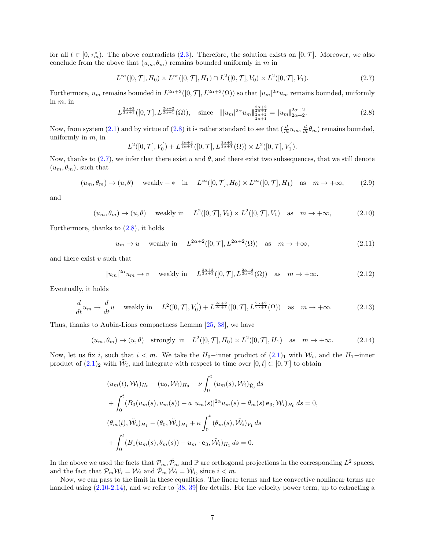for all  $t \in [0, \tau_m^* )$ . The above contradicts [\(2.3\)](#page-5-5). Therefore, the solution exists on  $[0, \mathcal{T} ]$ . Moreover, we also conclude from the above that  $(u_m, \theta_m)$  remains bounded uniformly in m in

<span id="page-6-1"></span>
$$
L^{\infty}([0,\mathcal{T}],H_0) \times L^{\infty}([0,\mathcal{T}],H_1) \cap L^2([0,\mathcal{T}],V_0) \times L^2([0,\mathcal{T}],V_1).
$$
\n(2.7)

Furthermore,  $u_m$  remains bounded in  $L^{2\alpha+2}([0,\mathcal{T}], L^{2\alpha+2}(\Omega))$  so that  $|u_m|^{2\alpha}u_m$  remains bounded, uniformly in  $m$ , in

<span id="page-6-0"></span>
$$
L^{\frac{2\alpha+2}{2\alpha+1}}([0,\mathcal{T}],L^{\frac{2\alpha+2}{2\alpha+1}}(\Omega)), \quad \text{since} \quad \| |u_m|^{2\alpha} u_m \|_{\frac{2\alpha+2}{2\alpha+1}}^{\frac{2\alpha+2}{2\alpha+1}} = \| u_m \|_{2\alpha+2}^{2\alpha+2}.
$$
 (2.8)

Now, from system [\(2.1\)](#page-5-1) and by virtue of [\(2.8\)](#page-6-0) it is rather standard to see that  $(\frac{d}{dt}u_m, \frac{d}{dt}\theta_m)$  remains bounded, uniformly in  $m$ , in

<span id="page-6-2"></span>
$$
L^{2}([0,\mathcal{T}],V_{0}^{'})+L^{\frac{2\alpha+2}{2\alpha+1}}([0,\mathcal{T}],L^{\frac{2\alpha+2}{2\alpha+1}}(\Omega))\times L^{2}([0,\mathcal{T}],V_{1}^{'}).
$$

Now, thanks to  $(2.7)$ , we infer that there exist u and  $\theta$ , and there exist two subsequences, that we still denote  $(u_m, \theta_m)$ , such that

$$
(u_m, \theta_m) \to (u, \theta) \quad \text{weakly} - * \quad \text{in} \quad L^{\infty}([0, \mathcal{T}], H_0) \times L^{\infty}([0, \mathcal{T}], H_1) \quad \text{as} \quad m \to +\infty,
$$
 (2.9)

and

$$
(u_m, \theta_m) \to (u, \theta) \quad \text{weakly in} \quad L^2([0, \mathcal{T}], V_0) \times L^2([0, \mathcal{T}], V_1) \quad \text{as} \quad m \to +\infty,
$$
 (2.10)

Furthermore, thanks to [\(2.8\)](#page-6-0), it holds

$$
u_m \to u
$$
 weakly in  $L^{2\alpha+2}([0, \mathcal{T}], L^{2\alpha+2}(\Omega))$  as  $m \to +\infty$ , (2.11)

and there exist  $v$  such that

$$
|u_m|^{2\alpha}u_m \to v \quad \text{ weakly in} \quad L^{\frac{2\alpha+2}{2\alpha+1}}([0,\mathcal{T}], L^{\frac{2\alpha+2}{2\alpha+1}}(\Omega)) \quad \text{as} \quad m \to +\infty. \tag{2.12}
$$

Eventually, it holds

$$
\frac{d}{dt}u_m \to \frac{d}{dt}u \quad \text{ weakly in} \quad L^2([0, \mathcal{T}], V_0') + L^{\frac{2\alpha+2}{2\alpha+1}}([0, \mathcal{T}], L^{\frac{2\alpha+2}{2\alpha+1}}(\Omega)) \quad \text{as} \quad m \to +\infty. \tag{2.13}
$$

Thus, thanks to Aubin-Lions compactness Lemma [\[25,](#page-16-14) [38\]](#page-16-13), we have

<span id="page-6-3"></span>
$$
(u_m, \theta_m) \to (u, \theta) \quad \text{strongly in} \quad L^2([0, \mathcal{T}], H_0) \times L^2([0, \mathcal{T}], H_1) \quad \text{as} \quad m \to +\infty. \tag{2.14}
$$

Now, let us fix i, such that  $i < m$ . We take the  $H_0$ -inner product of  $(2.1)_1$  with  $\mathcal{W}_i$ , and the  $H_1$ -inner product of  $(2.1)_2$  with  $\tilde{W}_i$ , and integrate with respect to time over  $[0, t] \subset [0, \mathcal{T}]$  to obtain

$$
(u_m(t), W_i)_{H_0} - (u_0, W_i)_{H_0} + \nu \int_0^t (u_m(s), W_i)_{\dot{V}_0} ds
$$
  
+ 
$$
\int_0^t (B_0(u_m(s), u_m(s)) + a |u_m(s)|^{2\alpha} u_m(s) - \theta_m(s) e_3, W_i)_{H_0} ds = 0,
$$
  

$$
(\theta_m(t), \tilde{W}_i)_{H_1} - (\theta_0, \tilde{W}_i)_{H_1} + \kappa \int_0^t (\theta_m(s), \tilde{W}_i)_{V_1} ds
$$
  
+ 
$$
\int_0^t (B_1(u_m(s), \theta_m(s)) - u_m \cdot e_3, \tilde{W}_i)_{H_1} ds = 0.
$$

In the above we used the facts that  $\mathcal{P}_m$ ,  $\tilde{\mathcal{P}}_m$  and  $\mathbb P$  are orthogonal projections in the corresponding  $L^2$  spaces, and the fact that  $\mathcal{P}_m \mathcal{W}_i = \mathcal{W}_i$  and  $\tilde{\mathcal{P}}_m \tilde{\mathcal{W}}_i = \tilde{\mathcal{W}}_i$ , since  $i < m$ .

Now, we can pass to the limit in these equalities. The linear terms and the convective nonlinear terms are handled using  $(2.10-2.14)$  $(2.10-2.14)$ , and we refer to [\[38,](#page-16-13) [39\]](#page-16-0) for details. For the velocity power term, up to extracting a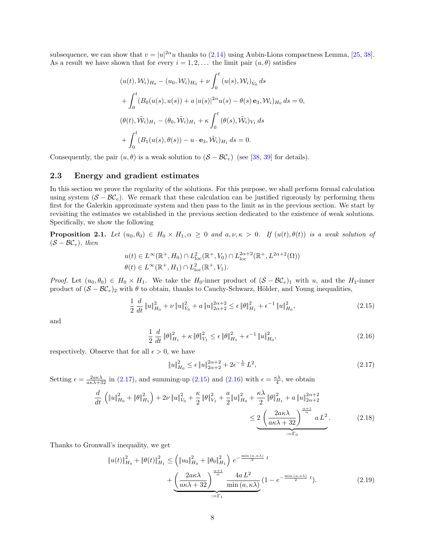subsequence, we can show that  $v = |u|^{2\alpha}u$  thanks to [\(2.14\)](#page-6-3) using Aubin-Lions compactness Lemma, [\[25,](#page-16-14) [38\]](#page-16-13). As a result we have shown that for every  $i = 1, 2, \ldots$  the limit pair  $(u, \theta)$  satisfies

$$
(u(t), W_i)_{H_0} - (u_0, W_i)_{H_0} + \nu \int_0^t (u(s), W_i)_{\dot{V}_0} ds
$$
  
+ 
$$
\int_0^t (B_0(u(s), u(s)) + a |u(s)|^{2\alpha} u(s) - \theta(s) \mathbf{e}_3, W_i)_{H_0} ds = 0,
$$
  

$$
(\theta(t), \tilde{W}_i)_{H_1} - (\theta_0, \tilde{W}_i)_{H_1} + \kappa \int_0^t (\theta(s), \tilde{W}_i)_{V_1} ds
$$
  
+ 
$$
\int_0^t (B_1(u(s), \theta(s)) - u \cdot \mathbf{e}_3, \tilde{W}_i)_{H_1} ds = 0.
$$

Consequently, the pair  $(u, \theta)$  is a weak solution to  $(S - \mathcal{BC}_e)$  (see [\[38,](#page-16-13) [39\]](#page-16-0) for details).

### <span id="page-7-0"></span>2.3 Energy and gradient estimates

In this section we prove the regularity of the solutions. For this purpose, we shall perform formal calculation using system  $(S - BC_e)$ . We remark that these calculation can be justified rigorously by performing them first for the Galerkin approximate system and then pass to the limit as in the previous section. We start by revisiting the estimates we established in the previous section dedicated to the existence of weak solutions. Specifically, we show the following

<span id="page-7-6"></span>**Proposition 2.1.** Let  $(u_0, \theta_0) \in H_0 \times H_1, \alpha \geq 0$  and  $a, \nu, \kappa > 0$ . If  $(u(t), \theta(t))$  is a weak solution of  $(S - BC_e)$ , then

$$
u(t) \in L^{\infty}(\mathbb{R}^+, H_0) \cap L^{2}_{loc}(\mathbb{R}^+, V_0) \cap L^{2\alpha+2}_{loc}(\mathbb{R}^+, L^{2\alpha+2}(\Omega))
$$
  

$$
\theta(t) \in L^{\infty}(\mathbb{R}^+, H_1) \cap L^{2}_{loc}(\mathbb{R}^+, V_1).
$$

*Proof.* Let  $(u_0, \theta_0) \in H_0 \times H_1$ . We take the H<sub>0</sub>-inner product of  $(S - \mathcal{BC}_e)_1$  with u, and the H<sub>1</sub>-inner product of  $(S - BC_e)_2$  with  $\theta$  to obtain, thanks to Cauchy-Schwarz, Hölder, and Young inequalities,

$$
\frac{1}{2} \frac{d}{dt} \|u\|_{H_0}^2 + \nu \|u\|_{V_0}^2 + a \|u\|_{2\alpha+2}^{2\alpha+2} \le \epsilon \|\theta\|_{H_1}^2 + \epsilon^{-1} \|u\|_{H_0}^2,\tag{2.15}
$$

and

$$
\frac{1}{2} \frac{d}{dt} \|\theta\|_{H_1}^2 + \kappa \|\theta\|_{V_1}^2 \le \epsilon \|\theta\|_{H_1}^2 + \epsilon^{-1} \|u\|_{H_0}^2,
$$
\n(2.16)

respectively. Observe that for all  $\epsilon > 0$ , we have

<span id="page-7-5"></span><span id="page-7-4"></span><span id="page-7-3"></span><span id="page-7-2"></span><span id="page-7-1"></span>
$$
\|u\|_{H_0}^2 \le \epsilon \|u\|_{2\alpha+2}^{2\alpha+2} + 2\epsilon^{-\frac{1}{\alpha}} L^2,
$$
\n(2.17)

Setting  $\epsilon = \frac{2a\kappa\lambda}{a\kappa\lambda+32}$  in [\(2.17\)](#page-7-1), and summing-up [\(2.15\)](#page-7-2) and [\(2.16\)](#page-7-3) with  $\epsilon = \frac{\kappa\lambda}{4}$ , we obtain

$$
\frac{d}{dt} \left( \|u\|_{H_0}^2 + \|\theta\|_{H_1}^2 \right) + 2\nu \|u\|_{V_0}^2 + \frac{\kappa}{2} \|\theta\|_{V_1}^2 + \frac{a}{2} \|u\|_{H_0}^2 + \frac{\kappa \lambda}{2} \|\theta\|_{H_1}^2 + a \|u\|_{2\alpha+2}^{2\alpha+2}
$$
\n
$$
\leq \underbrace{2 \left( \frac{2a\kappa \lambda}{a\kappa \lambda + 32} \right)^{\frac{\alpha+1}{\alpha}} a L^2}_{:=\Gamma_0} . \tag{2.18}
$$

Thanks to Gronwall's inequality, we get

$$
\|u(t)\|_{H_0}^2 + \|\theta(t)\|_{H_1}^2 \leq \left(\|u_0\|_{H_0}^2 + \|\theta_0\|_{H_1}^2\right) e^{-\frac{\min(a,\kappa\lambda)}{2}t} + \frac{\left(\frac{2a\kappa\lambda}{a\kappa\lambda + 32}\right)^{\frac{\alpha+1}{\alpha}} \frac{4aL^2}{\min(a,\kappa\lambda)} \left(1 - e^{-\frac{\min(a,\kappa\lambda)}{2}t}\right). \tag{2.19}
$$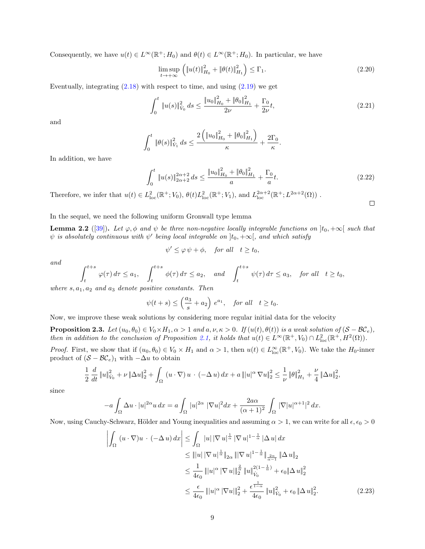Consequently, we have  $u(t) \in L^{\infty}(\mathbb{R}^+; H_0)$  and  $\theta(t) \in L^{\infty}(\mathbb{R}^+; H_0)$ . In particular, we have

$$
\limsup_{t \to +\infty} \left( \|u(t)\|_{H_0}^2 + \|\theta(t)\|_{H_1}^2 \right) \le \Gamma_1. \tag{2.20}
$$

Eventually, integrating  $(2.18)$  with respect to time, and using  $(2.19)$  we get

$$
\int_0^t \|u(s)\|_{V_0}^2 ds \le \frac{\|u_0\|_{H_0}^2 + \|\theta_0\|_{H_1}^2}{2\nu} + \frac{\Gamma_0}{2\nu}t,\tag{2.21}
$$

and

$$
\int_0^t \|\theta(s)\|_{\dot{V}_1}^2 ds \le \frac{2\left(\|u_0\|_{H_0}^2 + \|\theta_0\|_{H_1}^2\right)}{\kappa} + \frac{2\Gamma_0}{\kappa}.
$$

In addition, we have

$$
\int_0^t \|u(s)\|_{2\alpha+2}^{2\alpha+2} ds \le \frac{\|u_0\|_{H_0}^2 + \|\theta_0\|_{H_1}^2}{a} + \frac{\Gamma_0}{a}t. \tag{2.22}
$$

Therefore, we infer that  $u(t) \in L^2_{loc}(\mathbb{R}^+; V_0)$ ,  $\theta(t)L^2_{loc}(\mathbb{R}^+; V_1)$ , and  $L^{2\alpha+2}_{loc}(\mathbb{R}^+; L^{2\alpha+2}(\Omega))$ .

<span id="page-8-0"></span> $\Box$ 

In the sequel, we need the following uniform Gronwall type lemma

<span id="page-8-1"></span>**Lemma 2.2** ([\[39\]](#page-16-0)). Let  $\varphi, \phi$  and  $\psi$  be three non-negative locally integrable functions on  $]t_0, +\infty[$  such that  $\psi$  is absolutely continuous with  $\psi'$  being local integrable on  $]t_0, +\infty[$ , and which satisfy

$$
\psi' \leq \varphi \,\psi + \phi, \quad \text{for all} \quad t \geq t_0,
$$

and

$$
\int_{t}^{t+s} \varphi(\tau) d\tau \le a_1, \quad \int_{t}^{t+s} \phi(\tau) d\tau \le a_2, \quad and \quad \int_{t}^{t+s} \psi(\tau) d\tau \le a_3, \quad \text{for all} \quad t \ge t_0,
$$

where  $s, a_1, a_2$  and  $a_3$  denote positive constants. Then

$$
\psi(t+s) \leq \left(\frac{a_3}{s}+a_2\right)e^{a_1}, \text{ for all } t \geq t_0.
$$

Now, we improve these weak solutions by considering more regular initial data for the velocity

<span id="page-8-2"></span>**Proposition 2.3.** Let  $(u_0, \theta_0) \in V_0 \times H_1$ ,  $\alpha > 1$  and  $a, \nu, \kappa > 0$ . If  $(u(t), \theta(t))$  is a weak solution of  $(S - \mathcal{BC}_e)$ , then in addition to the conclusion of Proposition [2.1,](#page-7-6) it holds that  $u(t) \in L^{\infty}(\mathbb{R}^+, V_0) \cap L^2_{loc}(\mathbb{R}^+, H^2(\Omega)).$ 

*Proof.* First, we show that if  $(u_0, \theta_0) \in V_0 \times H_1$  and  $\alpha > 1$ , then  $u(t) \in L^{\infty}_{loc}(\mathbb{R}^+, V_0)$ . We take the  $H_0$ -inner product of  $(S - \mathcal{BC}_e)_1$  with  $-\Delta u$  to obtain

$$
\frac{1}{2} \frac{d}{dt} ||u||_{V_0}^2 + \nu ||\Delta u||_2^2 + \int_{\Omega} (u \cdot \nabla) u \cdot (-\Delta u) dx + a |||u|^\alpha \nabla u\|_2^2 \leq \frac{1}{\nu} ||\theta||_{H_1}^2 + \frac{\nu}{4} ||\Delta u||_2^2,
$$

since

$$
-a\int_{\Omega}\Delta u\cdot|u|^{2\alpha}u\,dx=a\int_{\Omega}|u|^{2\alpha}|\nabla u|^{2}dx+\frac{2a\alpha}{(\alpha+1)^{2}}\int_{\Omega}|\nabla|u|^{\alpha+1}|^{2}\,dx.
$$

Now, using Cauchy-Schwarz, Hölder and Young inequalities and assuming  $\alpha > 1$ , we can write for all  $\epsilon, \epsilon_0 > 0$ 

<span id="page-8-3"></span>
$$
\left| \int_{\Omega} (u \cdot \nabla) u \cdot (-\Delta u) \, dx \right| \leq \int_{\Omega} |u| \, |\nabla u|^{\frac{1}{\alpha}} \, |\nabla u|^{1-\frac{1}{\alpha}} \, |\Delta u| \, dx
$$
  
\n
$$
\leq \| |u| \, |\nabla u|^{\frac{1}{\alpha}} \|_{2\alpha} \, \| |\nabla u|^{1-\frac{1}{\alpha}} \|_{\frac{2\alpha}{\alpha-1}} \, \|\Delta u\|_{2}
$$
  
\n
$$
\leq \frac{1}{4\epsilon_0} \| |u|^{\alpha} \, |\nabla u| \|_{2}^{\frac{2}{\alpha}} \|u\|_{V_0}^{2(1-\frac{1}{\alpha})} + \epsilon_0 \|\Delta u\|_{2}^{2}
$$
  
\n
$$
\leq \frac{\epsilon}{4\epsilon_0} \| |u|^{\alpha} \, |\nabla u| \|_{2}^{2} + \frac{\epsilon^{\frac{1}{1-\alpha}}}{4\epsilon_0} \| u \|_{V_0}^{2} + \epsilon_0 \|\Delta u\|_{2}^{2}.
$$
\n(2.23)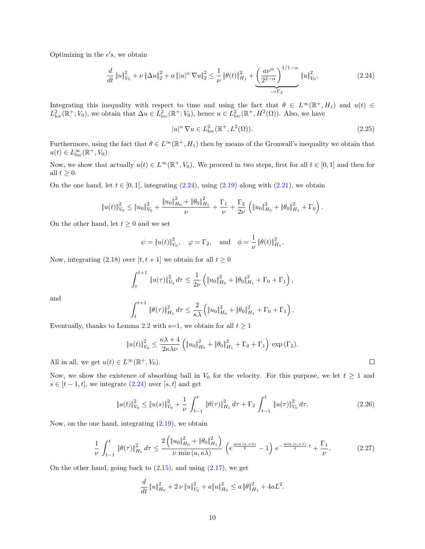Optimizing in the  $\epsilon'$ s, we obtain

$$
\frac{d}{dt} \|u\|_{V_0}^2 + \nu \|\Delta u\|_2^2 + a \|u|^\alpha \nabla u\|_2^2 \le \frac{1}{\nu} \|\theta(t)\|_{H_1}^2 + \underbrace{\left(\frac{a\nu^\alpha}{2^{2-\alpha}}\right)^{1/1-\alpha}}_{:=\Gamma_2} \|u\|_{V_0}^2. \tag{2.24}
$$

Integrating this inequality with respect to time and using the fact that  $\theta \in L^{\infty}(\mathbb{R}^+, H_1)$  and  $u(t) \in$  $L^2_{loc}(\mathbb{R}^+; V_0)$ , we obtain that  $\Delta u \in L^2_{loc}(\mathbb{R}^+; V_0)$ , hence  $u \in L^2_{loc}(\mathbb{R}^+, H^2(\Omega))$ . Also, we have

<span id="page-9-3"></span><span id="page-9-0"></span>
$$
|u|^{\alpha} \nabla u \in L_{\text{loc}}^2(\mathbb{R}^+, L^2(\Omega)).
$$
\n(2.25)

Furthermore, using the fact that  $\theta \in L^{\infty}(\mathbb{R}^+, H_1)$  then by means of the Gronwall's inequality we obtain that  $u(t) \in L^{\infty}_{\text{loc}}(\mathbb{R}^+, V_0).$ 

Now, we show that actually  $u(t) \in L^{\infty}(\mathbb{R}^+, V_0)$ . We proceed in two steps, first for all  $t \in [0, 1]$  and then for all  $t \geq 0$ .

On the one hand, let  $t \in [0, 1]$ , integrating  $(2.24)$ , using  $(2.19)$  along with  $(2.21)$ , we obtain

$$
||u(t)||_{\dot{V}_0}^2 \leq ||u_0||_{\dot{V}_0}^2 + \frac{||u_0||_{H_0}^2 + ||\theta_0||_{H_1}^2}{\nu} + \frac{\Gamma_1}{\nu} + \frac{\Gamma_2}{2\nu} \left( ||u_0||_{H_0}^2 + ||\theta_0||_{H_1}^2 + \Gamma_0 \right).
$$

On the other hand, let  $t \geq 0$  and we set

$$
\psi = \|u(t)\|_{V_0}^2
$$
,  $\varphi = \Gamma_2$ , and  $\phi = \frac{1}{\nu} \|\theta(t)\|_{H_1}^2$ .

Now, integrating [\(2.18\)](#page-7-4) over  $[t, t + 1]$  we obtain for all  $t \ge 0$ 

$$
\int_{t}^{t+1} \|u(\tau)\|_{\dot{V}_0}^2 d\tau \leq \frac{1}{2\nu} \left( \|u_0\|_{H_0}^2 + \|\theta_0\|_{H_1}^2 + \Gamma_0 + \Gamma_1 \right),
$$

and

$$
\int_{t}^{t+1} \|\theta(\tau)\|_{H_1}^2 d\tau \leq \frac{2}{\kappa \lambda} \left( \|u_0\|_{H_0}^2 + \|\theta_0\|_{H_1}^2 + \Gamma_0 + \Gamma_1 \right).
$$

Eventually, thanks to Lemma [2.2](#page-8-1) with s=1, we obtain for all  $t \ge 1$ 

$$
||u(t)||_{V_0}^2 \le \frac{\kappa\lambda + 4}{2\kappa\lambda\nu} \left( ||u_0||_{H_0}^2 + ||\theta_0||_{H_1}^2 + \Gamma_0 + \Gamma_1 \right) \exp(\Gamma_2).
$$

All in all, we get  $u(t) \in L^{\infty}(\mathbb{R}^+, V_0)$ .

Now, we show the existence of absorbing ball in  $V_0$  for the velocity. For this purpose, we let  $t \geq 1$  and  $s \in [t-1, t]$ , we integrate  $(2.24)$  over  $[s, t]$  and get

$$
\|u(t)\|_{\dot{V}_0}^2 \le \|u(s)\|_{\dot{V}_0}^2 + \frac{1}{\nu} \int_{t-1}^t \|\theta(\tau)\|_{H_1}^2 d\tau + \Gamma_2 \int_{t-1}^t \|u(\tau)\|_{\dot{V}_0}^2 d\tau.
$$
 (2.26)

Now, on the one hand, integrating  $(2.19)$ , we obtain

$$
\frac{1}{\nu} \int_{t-1}^{t} \|\theta(\tau)\|_{H_1}^2 d\tau \le \frac{2\left(\|u_0\|_{H_0}^2 + \|\theta_0\|_{H_1}^2\right)}{\nu \min(a, \kappa \lambda)} \left(e^{\frac{\min(a, \kappa \lambda)}{2}} - 1\right) e^{-\frac{\min(a, \kappa \lambda)}{2} t} + \frac{\Gamma_1}{\nu}.\tag{2.27}
$$

On the other hand, going back to  $(2.15)$ , and using  $(2.17)$ , we get

$$
\frac{d}{dt} \|u\|_{H_0}^2 + 2\nu \|u\|_{V_0}^2 + a\|u\|_{H_0}^2 \le a\|\theta\|_{H_1}^2 + 4aL^2.
$$

<span id="page-9-2"></span><span id="page-9-1"></span> $\Box$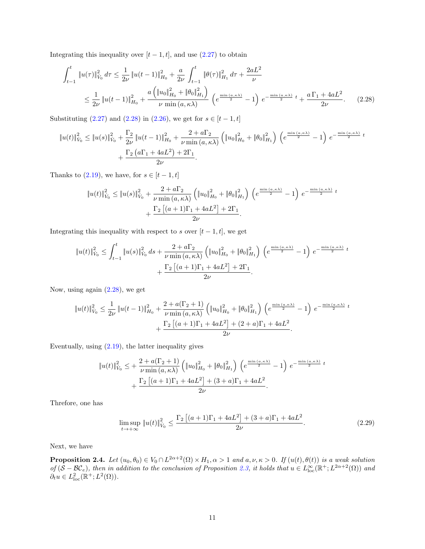Integrating this inequality over  $[t-1, t]$ , and use  $(2.27)$  to obtain

$$
\int_{t-1}^{t} \|u(\tau)\|_{V_{0}}^{2} d\tau \leq \frac{1}{2\nu} \|u(t-1)\|_{H_{0}}^{2} + \frac{a}{2\nu} \int_{t-1}^{t} \|\theta(\tau)\|_{H_{1}}^{2} d\tau + \frac{2aL^{2}}{\nu}
$$
\n
$$
\leq \frac{1}{2\nu} \|u(t-1)\|_{H_{0}}^{2} + \frac{a\left(\|u_{0}\|_{H_{0}}^{2} + \|\theta_{0}\|_{H_{1}}^{2}\right)}{\nu \min(a,\kappa\lambda)} \left(e^{\frac{\min(a,\kappa\lambda)}{2}} - 1\right) e^{-\frac{\min(a,\kappa\lambda)}{2}} t + \frac{a\Gamma_{1} + 4aL^{2}}{2\nu}.
$$
\n(2.28)

Substituting [\(2.27\)](#page-9-1) and [\(2.28\)](#page-10-0) in [\(2.26\)](#page-9-2), we get for  $s \in [t - 1, t]$ 

$$
\|u(t)\|_{V_0}^2 \le \|u(s)\|_{V_0}^2 + \frac{\Gamma_2}{2\nu} \|u(t-1)\|_{H_0}^2 + \frac{2 + a\Gamma_2}{\nu \min(a, \kappa\lambda)} \left( \|u_0\|_{H_0}^2 + \|\theta_0\|_{H_1}^2 \right) \left( e^{\frac{\min(a, \kappa\lambda)}{2}} - 1 \right) e^{-\frac{\min(a, \kappa\lambda)}{2} t} + \frac{\Gamma_2 (a\Gamma_1 + 4aL^2) + 2\Gamma_1}{2\nu}.
$$

Thanks to [\(2.19\)](#page-7-5), we have, for  $s \in [t-1, t]$ 

<span id="page-10-0"></span>
$$
\|u(t)\|_{V_0}^2 \le \|u(s)\|_{V_0}^2 + \frac{2 + a\Gamma_2}{\nu \min(a, \kappa\lambda)} \left( \|u_0\|_{H_0}^2 + \|\theta_0\|_{H_1}^2 \right) \left( e^{\frac{\min(a, \kappa\lambda)}{2}} - 1 \right) e^{-\frac{\min(a, \kappa\lambda)}{2} t} + \frac{\Gamma_2 \left[ (a+1)\Gamma_1 + 4aL^2 \right] + 2\Gamma_1}{2\nu}.
$$

Integrating this inequality with respect to s over  $[t - 1, t]$ , we get

$$
\|u(t)\|_{\dot{V}_0}^2 \le \int_{t-1}^t \|u(s)\|_{\dot{V}_0}^2 ds + \frac{2 + a\Gamma_2}{\nu \min(a, \kappa\lambda)} \left( \|u_0\|_{H_0}^2 + \|\theta_0\|_{H_1}^2 \right) \left( e^{\frac{\min(a, \kappa\lambda)}{2}} - 1 \right) e^{-\frac{\min(a, \kappa\lambda)}{2} t} + \frac{\Gamma_2 \left[ (a+1)\Gamma_1 + 4aL^2 \right] + 2\Gamma_1}{2\nu}.
$$

Now, using again [\(2.28\)](#page-10-0), we get

$$
\|u(t)\|_{V_0}^2 \le \frac{1}{2\nu} \|u(t-1)\|_{H_0}^2 + \frac{2 + a(\Gamma_2 + 1)}{\nu \min(a, \kappa \lambda)} \left( \|u_0\|_{H_0}^2 + \|\theta_0\|_{H_1}^2 \right) \left( e^{\frac{\min(a, \kappa \lambda)}{2}} - 1 \right) e^{-\frac{\min(a, \kappa \lambda)}{2} t} + \frac{\Gamma_2 \left[ (a+1)\Gamma_1 + 4aL^2 \right] + (2+a)\Gamma_1 + 4aL^2}{2\nu}.
$$

Eventually, using  $(2.19)$ , the latter inequality gives

$$
\|u(t)\|_{V_0}^2 \leq + \frac{2 + a(\Gamma_2 + 1)}{\nu \min(a, \kappa \lambda)} \left( \|u_0\|_{H_0}^2 + \|\theta_0\|_{H_1}^2 \right) \left( e^{\frac{\min(a, \kappa \lambda)}{2}} - 1 \right) e^{-\frac{\min(a, \kappa \lambda)}{2} t} + \frac{\Gamma_2 \left[ (a+1)\Gamma_1 + 4aL^2 \right] + (3+a)\Gamma_1 + 4aL^2}{2\nu}.
$$

Threfore, one has

$$
\limsup_{t \to +\infty} \|u(t)\|_{\dot{V}_0}^2 \le \frac{\Gamma_2 \left[ (a+1)\Gamma_1 + 4aL^2 \right] + (3+a)\Gamma_1 + 4aL^2}{2\nu}.
$$
\n(2.29)

Next, we have

**Proposition 2.4.** Let  $(u_0, \theta_0) \in V_0 \cap L^{2\alpha+2}(\Omega) \times H_1, \alpha > 1$  and  $a, \nu, \kappa > 0$ . If  $(u(t), \theta(t))$  is a weak solution of  $(S - BC_e)$ , then in addition to the conclusion of Proposition [2.3,](#page-8-2) it holds that  $u \in L^{\infty}_{loc}(\mathbb{R}^+; L^{2\alpha+2}(\Omega))$  and  $\partial_t u \in L^2_{\text{loc}}(\mathbb{R}^+; L^2(\Omega)).$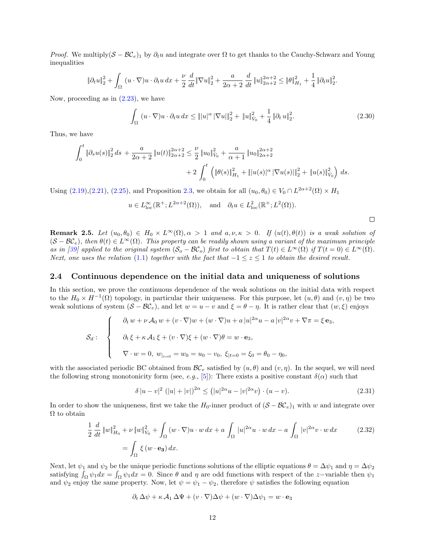*Proof.* We multiply( $S - \mathcal{BC}_e$ )<sub>1</sub> by  $\partial_t u$  and integrate over  $\Omega$  to get thanks to the Cauchy-Schwarz and Young inequalities

$$
\|\partial_t u\|_2^2 + \int_{\Omega} (u \cdot \nabla)u \cdot \partial_t u \, dx + \frac{\nu}{2} \frac{d}{dt} \|\nabla u\|_2^2 + \frac{a}{2\alpha + 2} \frac{d}{dt} \|u\|_{2\alpha + 2}^{2\alpha + 2} \le \|\theta\|_{H_1}^2 + \frac{1}{4} \|\partial_t u\|_2^2.
$$

Now, proceeding as in  $(2.23)$ , we have

$$
\int_{\Omega} (u \cdot \nabla)u \cdot \partial_t u \, dx \le ||u|^{\alpha} |\nabla u||_2^2 + ||u||_{V_0}^2 + \frac{1}{4} ||\partial_t u||_2^2. \tag{2.30}
$$

Thus, we have

$$
\int_0^t \|\partial_s u(s)\|_2^2 ds + \frac{a}{2\alpha + 2} \|u(t)\|_{2\alpha + 2}^{2\alpha + 2} \le \frac{\nu}{2} \|u_0\|_{V_0}^2 + \frac{a}{\alpha + 1} \|u_0\|_{2\alpha + 2}^{2\alpha + 2} + 2 \int_0^t \left( \|\theta(s)\|_{H_1}^2 + \|u(s)|^{\alpha} |\nabla u(s)|\|_2^2 + \|u(s)\|_{V_0}^2 \right) ds.
$$

Using  $(2.19),(2.21),(2.25)$  $(2.19),(2.21),(2.25)$  $(2.19),(2.21),(2.25)$ , and Proposition [2.3,](#page-8-2) we obtain for all  $(u_0, \theta_0) \in V_0 \cap L^{2\alpha+2}(\Omega) \times H_1$ 

$$
u \in L^{\infty}_{loc}(\mathbb{R}^+; L^{2\alpha+2}(\Omega)), \text{ and } \partial_t u \in L^2_{loc}(\mathbb{R}^+; L^2(\Omega)).
$$

<span id="page-11-2"></span>

**Remark 2.5.** Let  $(u_0, \theta_0) \in H_0 \times L^{\infty}(\Omega), \alpha > 1$  and  $a, \nu, \kappa > 0$ . If  $(u(t), \theta(t))$  is a weak solution of  $(S - BC_e)$ , then  $\theta(t) \in L^{\infty}(\Omega)$ . This property can be readily shown using a variant of the maximum principle as in [\[39\]](#page-16-0) applied to the original system  $(S_o - BC_o)$  first to obtain that  $T(t) \in L^{\infty}(\Omega)$  if  $T(t = 0) \in L^{\infty}(\Omega)$ . Next, one uses the relation [\(1.1\)](#page-1-2) together with the fact that  $-1 \le z \le 1$  to obtain the desired result.

#### <span id="page-11-0"></span>2.4 Continuous dependence on the initial data and uniqueness of solutions

In this section, we prove the continuous dependence of the weak solutions on the initial data with respect to the  $H_0 \times H^{-1}(\Omega)$  topology, in particular their uniqueness. For this purpose, let  $(u, \theta)$  and  $(v, \eta)$  be two weak solutions of system  $(S - BC_e)$ , and let  $w = u - v$  and  $\xi = \theta - \eta$ . It is rather clear that  $(w, \xi)$  enjoys

$$
\mathcal{S}_d: \quad \begin{cases} \quad \partial_t \, w + \nu \, \mathcal{A}_0 \, w + (v \cdot \nabla) w + (w \cdot \nabla) u + a \, |u|^{2\alpha} u - a \, |v|^{2\alpha} v + \nabla \pi = \xi \, \mathbf{e}_3, \\ \quad \partial_t \, \xi + \kappa \, \mathcal{A}_1 \, \xi + (v \cdot \nabla) \xi + (w \cdot \nabla) \theta = w \cdot \mathbf{e}_3, \\ \quad \nabla \cdot w = 0, \ w_{|_{t=0}} = w_0 = u_0 - v_0, \ \xi_{|t=0} = \xi_0 = \theta_0 - \eta_0, \end{cases}
$$

with the associated periodic BC obtained from  $\mathcal{BC}_e$  satisfied by  $(u, \theta)$  and  $(v, \eta)$ . In the sequel, we will need the following strong monotonicity form (see, e.g., [\[5\]](#page-15-7)): There exists a positive constant  $\delta(\alpha)$  such that

<span id="page-11-1"></span>
$$
\delta |u - v|^2 (|u| + |v|)^{2\alpha} \le (|u|^{2\alpha} u - |v|^{2\alpha} v) \cdot (u - v). \tag{2.31}
$$

In order to show the uniqueness, first we take the H<sub>0</sub>-inner product of  $(S - \mathcal{BC}_e)_1$  with w and integrate over  $\Omega$  to obtain

$$
\frac{1}{2} \frac{d}{dt} ||w||_{H_0}^2 + \nu ||w||_{V_0}^2 + \int_{\Omega} (w \cdot \nabla)u \cdot w \, dx + a \int_{\Omega} |u|^{2\alpha}u \cdot w \, dx - a \int_{\Omega} |v|^{2\alpha}v \cdot w \, dx \tag{2.32}
$$
\n
$$
= \int_{\Omega} \xi(w \cdot \mathbf{e}_3) \, dx.
$$

Next, let  $\psi_1$  and  $\psi_2$  be the unique periodic functions solutions of the elliptic equations  $\theta = \Delta \psi_1$  and  $\eta = \Delta \psi_2$ satisfying  $\int_{\Omega} \psi_1 dx = \int_{\Omega} \psi_1 dx = 0$ . Since  $\theta$  and  $\eta$  are odd functions with respect of the z-variable then  $\psi_1$ and  $\psi_2$  enjoy the same property. Now, let  $\psi = \psi_1 - \psi_2$ , therefore  $\psi$  satisfies the following equation

$$
\partial_t \Delta \psi + \kappa \mathcal{A}_1 \Delta \Psi + (v \cdot \nabla) \Delta \psi + (w \cdot \nabla) \Delta \psi_1 = w \cdot \mathbf{e}_3
$$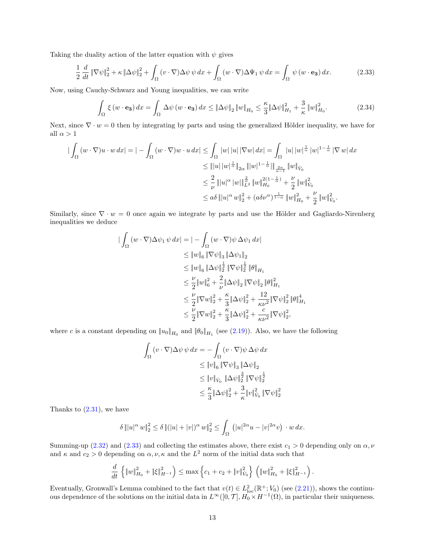Taking the duality action of the latter equation with  $\psi$  gives

$$
\frac{1}{2} \frac{d}{dt} \|\nabla \psi\|_{2}^{2} + \kappa \|\Delta \psi\|_{2}^{2} + \int_{\Omega} (v \cdot \nabla) \Delta \psi \, \psi \, dx + \int_{\Omega} (w \cdot \nabla) \Delta \Psi_{1} \, \psi \, dx = \int_{\Omega} \psi \, (w \cdot \mathbf{e_{3}}) \, dx. \tag{2.33}
$$

Now, using Cauchy-Schwarz and Young inequalities, we can write

<span id="page-12-0"></span>
$$
\int_{\Omega} \xi \left( w \cdot \mathbf{e_3} \right) dx = \int_{\Omega} \Delta \psi \left( w \cdot \mathbf{e_3} \right) dx \leq \|\Delta \psi\|_2 \left\| w \right\|_{H_0} \leq \frac{\kappa}{3} \|\Delta \psi\|_{H_1}^2 + \frac{3}{\kappa} \left\| w \right\|_{H_0}^2. \tag{2.34}
$$

Next, since  $\nabla \cdot w = 0$  then by integrating by parts and using the generalized Hölder inequality, we have for all  $\alpha > 1$ 

$$
\begin{split}\n|\int_{\Omega} (w \cdot \nabla) u \cdot w \, dx| &= | - \int_{\Omega} (w \cdot \nabla) w \cdot u \, dx| \leq \int_{\Omega} |w| \, |u| \, |\nabla w| \, dx| = \int_{\Omega} |u| \, |w|^{\frac{1}{\alpha}} \, |w|^{1 - \frac{1}{\alpha}} \, |\nabla w| \, dx \\
&\leq \| |u| \, |w|^{\frac{1}{\alpha}} \|_{2\alpha} \, \| |w|^{1 - \frac{1}{\alpha}} \, \| \|_{\dot{W}_0} \\
&\leq \frac{2}{\nu} \, \| |u|^\alpha \, |w| \|^{\frac{2}{\alpha}}_{L^2} \, \|w\|^2_{H_0}^{2(1 - \frac{1}{\alpha})} + \frac{\nu}{2} \, \|w\|^2_{V_0} \\
&\leq a\delta \, \| |u|^\alpha \, w\|^2_{2} + (a\delta \nu^\alpha)^{\frac{1}{1 - \alpha}} \, \|w\|^2_{H_0} + \frac{\nu}{2} \, \|w\|^2_{V_0}.\n\end{split}
$$

Similarly, since  $\nabla \cdot w = 0$  once again we integrate by parts and use the Hölder and Gagliardo-Nirenberg inequalities we deduce

$$
\begin{aligned} \|\int_{\Omega} (w \cdot \nabla) \Delta \psi_1 \, \psi \, dx\| &= |- \int_{\Omega} (w \cdot \nabla) \psi \, \Delta \psi_1 \, dx| \\ &\leq \|w\|_6 \, \|\nabla \psi\|_3 \, \|\Delta \psi_1\|_2 \\ &\leq \|w\|_6 \, \|\Delta \psi\|_2^{\frac{1}{2}} \, \|\nabla \psi\|_2^{\frac{1}{2}} \, \|\theta\|_{H_1} \\ &\leq \frac{\nu}{2} \|w\|_6^2 + \frac{2}{\nu} \|\Delta \psi\|_2 \, \|\nabla \psi\|_2 \, \|\theta\|_{H_1}^2 \\ &\leq \frac{\nu}{2} \|\nabla w\|_2^2 + \frac{\kappa}{3} \|\Delta \psi\|_2^2 + \frac{12}{\kappa \nu^2} \|\nabla \psi\|_2^2 \, \|\theta\|_{H_1}^4 \\ &\leq \frac{\nu}{2} \|\nabla w\|_2^2 + \frac{\kappa}{3} \|\Delta \psi\|_2^2 + \frac{c}{\kappa \nu^2} \|\nabla \psi\|_2^2, \end{aligned}
$$

where c is a constant depending on  $||u_0||_{H_0}$  and  $||\theta_0||_{H_1}$  (see [\(2.19\)](#page-7-5)). Also, we have the following

$$
\int_{\Omega} (v \cdot \nabla) \Delta \psi \, \psi \, dx = -\int_{\Omega} (v \cdot \nabla) \psi \, \Delta \psi \, dx
$$
\n
$$
\leq \|v\|_{6} \|\nabla \psi\|_{3} \|\Delta \psi\|_{2}
$$
\n
$$
\leq \|v\|_{\dot{V}_0} \|\Delta \psi\|_{2}^{\frac{3}{2}} \|\nabla \psi\|_{2}^{\frac{1}{2}}
$$
\n
$$
\leq \frac{\kappa}{3} \|\Delta \psi\|_{2}^2 + \frac{3}{\kappa} \|v\|_{\dot{V}_0}^2 \|\nabla \psi\|_{2}^2
$$

Thanks to  $(2.31)$ , we have

$$
\delta \| |u|^{\alpha} w\|_2^2 \le \delta \| (|u| + |v|)^{\alpha} w\|_2^2 \le \int_{\Omega} (|u|^{2\alpha} u - |v|^{2\alpha} v) \cdot w \, dx.
$$

Summing-up [\(2.32\)](#page-11-2) and [\(2.33\)](#page-12-0) and collecting the estimates above, there exist  $c_1 > 0$  depending only on  $\alpha, \nu$ and  $\kappa$  and  $c_2 > 0$  depending on  $\alpha, \nu, \kappa$  and the  $L^2$  norm of the initial data such that

$$
\frac{d}{dt}\left\{\|w\|_{H_0}^2+\|\xi\|_{H^{-1}}^2\right\} \leq \max\left\{c_1+c_2+\|v\|_{V_0}^2\right\}\left(\|w\|_{H_0}^2+\|\xi\|_{H^{-1}}^2\right).
$$

Eventually, Gronwall's Lemma combined to the fact that  $v(t) \in L^2_{loc}(\mathbb{R}^+; V_0)$  (see [\(2.21\)](#page-8-0)), shows the continuous dependence of the solutions on the initial data in  $L^{\infty}([0, \mathcal{T}], H_0 \times H^{-1}(\Omega)$ , in particular their uniqueness.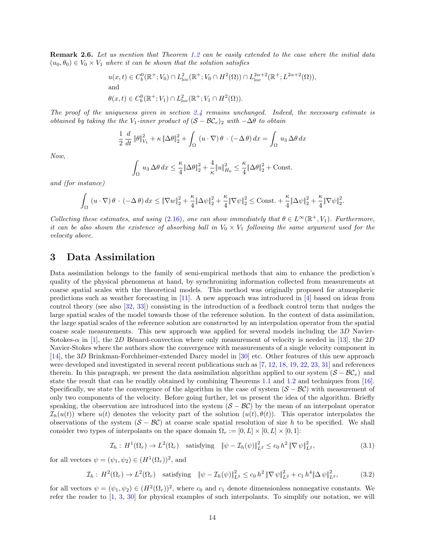<span id="page-13-1"></span>**Remark 2.6.** Let us mention that Theorem [1.2](#page-4-2) can be easily extended to the case where the initial data  $(u_0, \theta_0) \in V_0 \times V_1$  where it can be shown that the solution satisfies

$$
u(x,t) \in C_b^0(\mathbb{R}^+; V_0) \cap L_{loc}^2(\mathbb{R}^+; V_0 \cap H^2(\Omega)) \cap L_{loc}^{2\alpha+2}(\mathbb{R}^+; L^{2\alpha+2}(\Omega)),
$$
  
and  

$$
\theta(x,t) \in C_b^0(\mathbb{R}^+; V_1) \cap L_{loc}^2(\mathbb{R}^+; V_1 \cap H^2(\Omega)).
$$

The proof of the uniqueness given in section [2.4](#page-11-0) remains unchanged. Indeed, the necessary estimate is obtained by taking the the V<sub>1</sub>-inner product of  $(S - BC_e)_2$  with  $-\Delta\theta$  to obtain

$$
\frac{1}{2} \frac{d}{dt} ||\theta||_{V_1}^2 + \kappa ||\Delta\theta||_2^2 + \int_{\Omega} (u \cdot \nabla) \theta \cdot (-\Delta\theta) dx = \int_{\Omega} u_3 \Delta\theta dx
$$

Now,

$$
\int_{\Omega} u_3 \, \Delta \theta \, dx \leq \frac{\kappa}{4} \|\Delta \theta\|_2^2 + \frac{4}{\kappa} \|u\|_{H_0}^2 \leq \frac{\kappa}{4} \|\Delta \theta\|_2^2 + \text{Const.}
$$

and (for instance)

$$
\int_{\Omega} \left( u \cdot \nabla \right) \theta \cdot \left( -\Delta \theta \right) dx \leq \|\nabla w\|_2^2 + \frac{\kappa}{4} \|\Delta \psi\|_2^2 + \frac{\kappa}{4} \|\nabla \psi\|_2^2 \leq \text{Const.} + \frac{\kappa}{4} \|\Delta \psi\|_2^2 + \frac{\kappa}{4} \|\nabla \psi\|_2^2.
$$

Collecting these estimates, and using [\(2.16\)](#page-7-3), one can show immediately that  $\theta \in L^{\infty}(\mathbb{R}^+, V_1)$ . Furthermore, it can be also shown the existence of absorbing ball in  $V_0 \times V_1$  following the same argument used for the velocity above.

### <span id="page-13-0"></span>3 Data Assimilation

Data assimilation belongs to the family of semi-empirical methods that aim to enhance the prediction's quality of the physical phenomena at hand, by synchronizing information collected from measurements at coarse spatial scales with the theoretical models. This method was originally proposed for atmospheric predictions such as weather forecasting in [\[11\]](#page-15-8). A new approach was introduced in [\[4\]](#page-14-2) based on ideas from control theory (see also [\[32,](#page-16-15) [33\]](#page-16-16)) consisting in the introduction of a feedback control term that nudges the large spatial scales of the model towards those of the reference solution. In the context of data assimilation, the large spatial scales of the reference solution are constructed by an interpolation operator from the spatial coarse scale measurements. This new approach was applied for several models including the 3D Navier-Sotokes- $\alpha$  in [\[1\]](#page-14-3), the 2D Bénard-convection where only measurement of velocity is needed in [\[13\]](#page-15-9), the 2D Navier-Stokes where the authors show the convergence with measurements of a single velocity component in [\[14\]](#page-15-10), the 3D Brinkman-Forchheimer-extended Darcy model in [\[30\]](#page-16-9) etc. Other features of this new approach were developed and investigated in several recent publications such as [\[7,](#page-15-11) [12,](#page-15-12) [18,](#page-15-13) [19,](#page-15-14) [22,](#page-15-15) [23,](#page-16-17) [31\]](#page-16-18) and references therein. In this paragraph, we present the data assimilation algorithm applied to our system  $(S - BC_e)$  and state the result that can be readily obtained by combining Theorems [1.1](#page-3-1) and [1.2](#page-4-2) and techniques from [\[16\]](#page-15-16). Specifically, we state the convergence of the algorithm in the case of system  $(S - BC)$  with measurement of only two components of the velocity. Before going further, let us present the idea of the algorithm. Briefly speaking, the observation are introduced into the system  $(S - BC)$  by the mean of an interpolant operator  $\mathcal{I}_h(u(t))$  where  $u(t)$  denotes the velocity part of the solution  $(u(t), \theta(t))$ . This operator interpolates the observations of the system  $(S - BC)$  at coarse scale spatial resolution of size h to be specified. We shall consider two types of interpolants on the space domain  $\Omega_r := [0, L] \times [0, L] \times [0, 1]$ :

<span id="page-13-3"></span><span id="page-13-2"></span>
$$
\mathcal{I}_h: H^1(\Omega_r) \to L^2(\Omega_r) \quad \text{satisfying} \quad \|\psi - \mathcal{I}_h(\psi)\|_{L^2}^2 \le c_0 \, h^2 \, \|\nabla \, \psi\|_{L^2}^2,\tag{3.1}
$$

for all vectors  $\psi = (\psi_1, \psi_2) \in (H^1(\Omega_r))^2$ , and

$$
\mathcal{I}_h: H^2(\Omega_r) \to L^2(\Omega_r) \quad \text{satisfying} \quad \|\psi - \mathcal{I}_h(\psi)\|_{L^2}^2 \le c_0 \, h^2 \, \|\nabla \,\psi\|_{L^2}^2 + c_1 \, h^4 \|\Delta \,\psi\|_{L^2}^2,\tag{3.2}
$$

for all vectors  $\psi = (\psi_1, \psi_2) \in (H^2(\Omega_r))^2$ , where  $c_0$  and  $c_1$  denote dimensionless nonnegative constants. We refer the reader to [\[1,](#page-14-3) [3,](#page-14-4) [30\]](#page-16-9) for physical examples of such interpolants. To simplify our notation, we will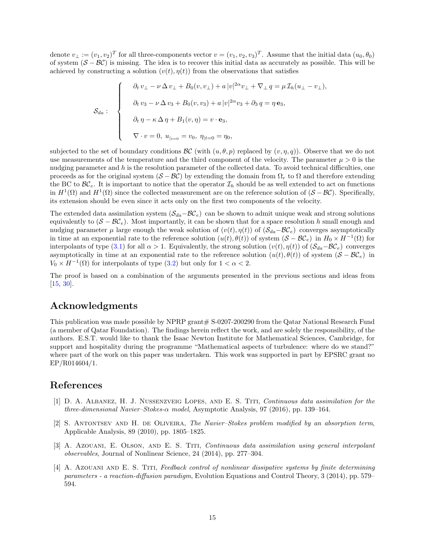denote  $v_{\perp} := (v_1, v_2)^T$  for all three-components vector  $v = (v_1, v_2, v_3)^T$ . Assume that the initial data  $(u_0, \theta_0)$ of system  $(S - BC)$  is missing. The idea is to recover this initial data as accurately as possible. This will be achieved by constructing a solution  $(v(t), \eta(t))$  from the observations that satisfies

$$
\mathcal{S}_{da}:\n\begin{cases}\n\partial_t v_\perp - \nu \Delta v_\perp + B_0(v, v_\perp) + a |v|^{2\alpha} v_\perp + \nabla_\perp q = \mu \mathcal{I}_h(u_\perp - v_\perp), \\
\partial_t v_3 - \nu \Delta v_3 + B_0(v, v_3) + a |v|^{2\alpha} v_3 + \partial_3 q = \eta \mathbf{e}_3, \\
\partial_t \eta - \kappa \Delta \eta + B_1(v, \eta) = v \cdot \mathbf{e}_3, \\
\nabla \cdot v = 0, \ u_{|_{t=0}} = v_0, \ \eta_{|t=0} = \eta_0,\n\end{cases}
$$

subjected to the set of boundary conditions  $\mathcal{BC}$  (with  $(u, \theta, p)$  replaced by  $(v, \eta, q)$ ). Observe that we do not use measurements of the temperature and the third component of the velocity. The parameter  $\mu > 0$  is the nudging parameter and  $h$  is the resolution parameter of the collected data. To avoid technical difficulties, one proceeds as for the original system  $(S - \mathcal{BC})$  by extending the domain from  $\Omega_r$  to  $\Omega$  and therefore extending the BC to  $\mathcal{BC}_e$ . It is important to notice that the operator  $\mathcal{I}_h$  should be as well extended to act on functions in  $H^1(\Omega)$  and  $H^1(\Omega)$  since the collected measurement are on the reference solution of  $(S - \mathcal{BC})$ . Specifically, its extension should be even since it acts only on the first two components of the velocity.

The extended data assimilation system  $(S_{da}-\mathcal{BC}_e)$  can be shown to admit unique weak and strong solutions equivalently to  $(S - \mathcal{BC}_e)$ . Most importantly, it can be shown that for a space resolution h small enough and nudging parameter  $\mu$  large enough the weak solution of  $(v(t), \eta(t))$  of  $(S_{da}-\mathcal{BC}_e)$  converges asymptotically in time at an exponential rate to the reference solution  $(u(t), \theta(t))$  of system  $(S - B\mathcal{C}_e)$  in  $H_0 \times H^{-1}(\Omega)$  for interpolants of type [\(3.1\)](#page-13-2) for all  $\alpha > 1$ . Equivalently, the strong solution  $(v(t), \eta(t))$  of  $(S_{da}-\mathcal{BC}_e)$  converges asymptotically in time at an exponential rate to the reference solution  $(u(t), \theta(t))$  of system  $(S - \mathcal{BC}_e)$  in  $V_0 \times H^{-1}(\Omega)$  for interpolants of type [\(3.2\)](#page-13-3) but only for  $1 < \alpha < 2$ .

The proof is based on a combination of the arguments presented in the previous sections and ideas from [\[15,](#page-15-17) [30\]](#page-16-9).

# Acknowledgments

This publication was made possible by NPRP grant# S-0207-200290 from the Qatar National Research Fund (a member of Qatar Foundation). The findings herein reflect the work, and are solely the responsibility, of the authors. E.S.T. would like to thank the Isaac Newton Institute for Mathematical Sciences, Cambridge, for support and hospitality during the programme "Mathematical aspects of turbulence: where do we stand?" where part of the work on this paper was undertaken. This work was supported in part by EPSRC grant no EP/R014604/1.

# <span id="page-14-0"></span>References

- <span id="page-14-3"></span>[1] D. A. Albanez, H. J. Nussenzveig Lopes, and E. S. Titi, Continuous data assimilation for the three-dimensional Navier–Stokes-α model, Asymptotic Analysis, 97 (2016), pp. 139–164.
- <span id="page-14-1"></span>[2] S. ANTONTSEV AND H. DE OLIVEIRA, The Navier–Stokes problem modified by an absorption term, Applicable Analysis, 89 (2010), pp. 1805–1825.
- <span id="page-14-4"></span>[3] A. Azouani, E. Olson, and E. S. Titi, Continuous data assimilation using general interpolant observables, Journal of Nonlinear Science, 24 (2014), pp. 277–304.
- <span id="page-14-2"></span>[4] A. Azouani and E. S. Titi, Feedback control of nonlinear dissipative systems by finite determining parameters - a reaction-diffusion paradigm, Evolution Equations and Control Theory, 3 (2014), pp. 579– 594.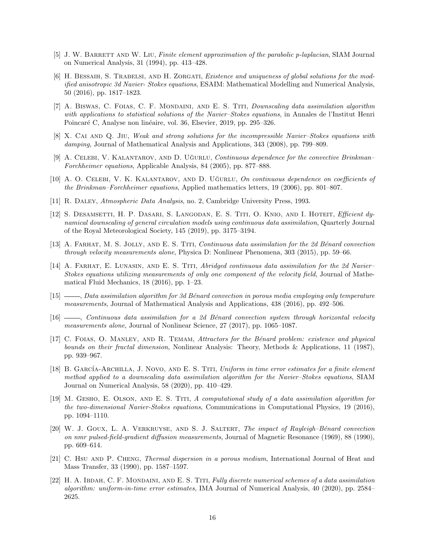- <span id="page-15-7"></span>[5] J. W. BARRETT AND W. LIU, Finite element approximation of the parabolic p-laplacian, SIAM Journal on Numerical Analysis, 31 (1994), pp. 413–428.
- <span id="page-15-6"></span>[6] H. BESSAIH, S. TRABELSI, AND H. ZORGATI, Existence and uniqueness of global solutions for the modified anisotropic 3d Navier- Stokes equations, ESAIM: Mathematical Modelling and Numerical Analysis, 50 (2016), pp. 1817–1823.
- <span id="page-15-11"></span>[7] A. BISWAS, C. FOIAS, C. F. MONDAINI, AND E. S. TITI, *Downscaling data assimilation algorithm* with applications to statistical solutions of the Navier–Stokes equations, in Annales de l'Institut Henri Poincaré C, Analyse non linéaire, vol. 36, Elsevier, 2019, pp. 295–326.
- <span id="page-15-5"></span>[8] X. CAI AND Q. JIU, Weak and strong solutions for the incompressible Navier–Stokes equations with damping, Journal of Mathematical Analysis and Applications, 343 (2008), pp. 799–809.
- <span id="page-15-4"></span>[9] A. CELEBI, V. KALANTAROV, AND D. UĞURLU, Continuous dependence for the convective Brinkman– Forchheimer equations, Applicable Analysis, 84 (2005), pp. 877–888.
- <span id="page-15-3"></span>[10] A. O. CELEBI, V. K. KALANTAROV, AND D. UĞURLU, On continuous dependence on coefficients of the Brinkman–Forchheimer equations, Applied mathematics letters, 19 (2006), pp. 801–807.
- <span id="page-15-8"></span>[11] R. Daley, Atmospheric Data Analysis, no. 2, Cambridge University Press, 1993.
- <span id="page-15-12"></span>[12] S. DESAMSETTI, H. P. DASARI, S. LANGODAN, E. S. TITI, O. KNIO, AND I. HOTEIT, *Efficient dy*namical downscaling of general circulation models using continuous data assimilation, Quarterly Journal of the Royal Meteorological Society, 145 (2019), pp. 3175–3194.
- <span id="page-15-9"></span>[13] A. FARHAT, M. S. JOLLY, AND E. S. TITI, Continuous data assimilation for the 2d Bénard convection through velocity measurements alone, Physica D: Nonlinear Phenomena, 303 (2015), pp. 59–66.
- <span id="page-15-10"></span>[14] A. FARHAT, E. LUNASIN, AND E. S. TITI, Abridged continuous data assimilation for the 2d Navier– Stokes equations utilizing measurements of only one component of the velocity field, Journal of Mathematical Fluid Mechanics, 18 (2016), pp. 1–23.
- <span id="page-15-17"></span>[15]  $\_\_\_\_\_$  Data assimilation algorithm for 3d Bénard convection in porous media employing only temperature measurements, Journal of Mathematical Analysis and Applications, 438 (2016), pp. 492–506.
- <span id="page-15-16"></span>[16] , Continuous data assimilation for a 2d B´enard convection system through horizontal velocity measurements alone, Journal of Nonlinear Science, 27 (2017), pp. 1065–1087.
- <span id="page-15-1"></span>[17] C. FOIAS, O. MANLEY, AND R. TEMAM, Attractors for the Bénard problem: existence and physical bounds on their fractal dimension, Nonlinear Analysis: Theory, Methods & Applications, 11 (1987), pp. 939–967.
- <span id="page-15-13"></span>[18] B. GARCÍA-ARCHILLA, J. NOVO, AND E. S. TITI, Uniform in time error estimates for a finite element method applied to a downscaling data assimilation algorithm for the Navier–Stokes equations, SIAM Journal on Numerical Analysis, 58 (2020), pp. 410–429.
- <span id="page-15-14"></span>[19] M. Gesho, E. Olson, and E. S. Titi, A computational study of a data assimilation algorithm for the two-dimensional Navier-Stokes equations, Communications in Computational Physics, 19 (2016), pp. 1094–1110.
- <span id="page-15-0"></span>[20] W. J. GOUX, L. A. VERKRUYSE, AND S. J. SALTERT, The impact of Rayleigh–Bénard convection on nmr pulsed-field-gradient diffusion measurements, Journal of Magnetic Resonance (1969), 88 (1990), pp. 609–614.
- <span id="page-15-2"></span>[21] C. Hsu and P. Cheng, Thermal dispersion in a porous medium, International Journal of Heat and Mass Transfer, 33 (1990), pp. 1587–1597.
- <span id="page-15-15"></span>[22] H. A. IBDAH, C. F. MONDAINI, AND E. S. TITI, Fully discrete numerical schemes of a data assimilation algorithm: uniform-in-time error estimates, IMA Journal of Numerical Analysis, 40 (2020), pp. 2584– 2625.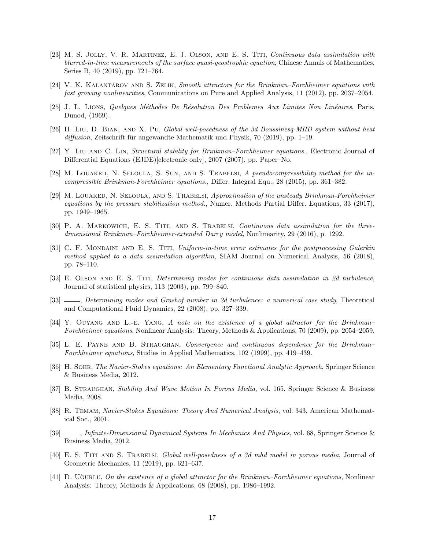- <span id="page-16-17"></span>[23] M. S. Jolly, V. R. Martinez, E. J. Olson, and E. S. Titi, Continuous data assimilation with blurred-in-time measurements of the surface quasi-geostrophic equation, Chinese Annals of Mathematics, Series B, 40 (2019), pp. 721–764.
- <span id="page-16-8"></span>[24] V. K. Kalantarov and S. Zelik, Smooth attractors for the Brinkman–Forchheimer equations with fast growing nonlinearities, Communications on Pure and Applied Analysis, 11 (2012), pp. 2037–2054.
- <span id="page-16-14"></span>[25] J. L. LIONS, Quelques Méthodes De Résolution Des Problemes Aux Limites Non Linéaires, Paris, Dunod, (1969).
- <span id="page-16-11"></span>[26] H. Liu, D. Bian, and X. Pu, Global well-posedness of the 3d Boussinesq-MHD system without heat  $diffusion$ , Zeitschrift für angewandte Mathematik und Physik, 70 (2019), pp. 1–19.
- <span id="page-16-1"></span>[27] Y. Liu AND C. Lin, *Structural stability for Brinkman–Forchheimer equations.*, Electronic Journal of Differential Equations (EJDE)[electronic only], 2007 (2007), pp. Paper–No.
- <span id="page-16-2"></span>[28] M. Louaked, N. Seloula, S. Sun, and S. Trabelsi, A pseudocompressibility method for the incompressible Brinkman-Forchheimer equations., Differ. Integral Equ., 28 (2015), pp. 361–382.
- <span id="page-16-3"></span>[29] M. Louaked, N. Seloula, and S. Trabelsi, Approximation of the unsteady Brinkman-Forchheimer equations by the pressure stabilization method., Numer. Methods Partial Differ. Equations, 33 (2017), pp. 1949–1965.
- <span id="page-16-9"></span>[30] P. A. MARKOWICH, E. S. TITI, AND S. TRABELSI, Continuous data assimilation for the threedimensional Brinkman–Forchheimer-extended Darcy model, Nonlinearity, 29 (2016), p. 1292.
- <span id="page-16-18"></span>[31] C. F. MONDAINI AND E. S. TITI, Uniform-in-time error estimates for the postprocessing Galerkin method applied to a data assimilation algorithm, SIAM Journal on Numerical Analysis, 56 (2018), pp. 78–110.
- <span id="page-16-15"></span>[32] E. Olson and E. S. Titi, Determining modes for continuous data assimilation in 2d turbulence, Journal of statistical physics, 113 (2003), pp. 799–840.
- <span id="page-16-16"></span>[33]  $\_\_\_\_\_\_\_\_\_\_\.\$  Determining modes and Grashof number in 2d turbulence: a numerical case study, Theoretical and Computational Fluid Dynamics, 22 (2008), pp. 327–339.
- <span id="page-16-6"></span>[34] Y. OUYANG AND L.-E. YANG, A note on the existence of a global attractor for the Brinkman– Forchheimer equations, Nonlinear Analysis: Theory, Methods & Applications, 70 (2009), pp. 2054–2059.
- <span id="page-16-4"></span>[35] L. E. PAYNE AND B. STRAUGHAN, Convergence and continuous dependence for the Brinkman– Forchheimer equations, Studies in Applied Mathematics, 102 (1999), pp. 419–439.
- <span id="page-16-12"></span>[36] H. Sohr, The Navier-Stokes equations: An Elementary Functional Analytic Approach, Springer Science & Business Media, 2012.
- <span id="page-16-5"></span>[37] B. STRAUGHAN, Stability And Wave Motion In Porous Media, vol. 165, Springer Science & Business Media, 2008.
- <span id="page-16-13"></span>[38] R. Temam, Navier-Stokes Equations: Theory And Numerical Analysis, vol. 343, American Mathematical Soc., 2001.
- <span id="page-16-0"></span>[39]  $\_\_\_\_\$ , Infinite-Dimensional Dynamical Systems In Mechanics And Physics, vol. 68, Springer Science & Business Media, 2012.
- <span id="page-16-10"></span>[40] E. S. Titi and S. Trabelsi, Global well-posedness of a 3d mhd model in porous media, Journal of Geometric Mechanics, 11 (2019), pp. 621–637.
- <span id="page-16-7"></span>[41] D. Uğurlu, On the existence of a global attractor for the Brinkman–Forchheimer equations, Nonlinear Analysis: Theory, Methods & Applications, 68 (2008), pp. 1986–1992.